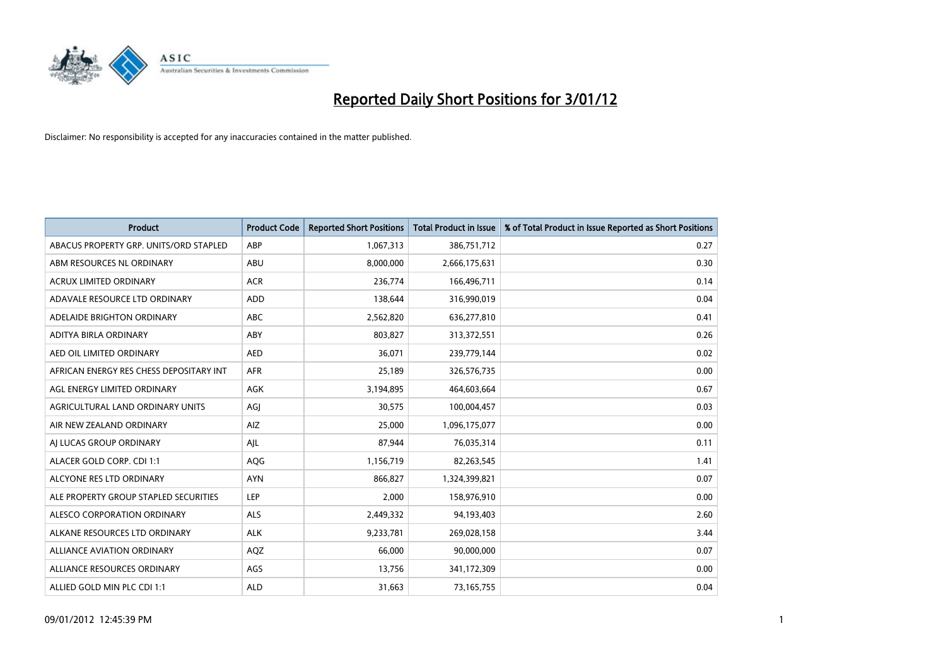

| <b>Product</b>                          | <b>Product Code</b> | <b>Reported Short Positions</b> | <b>Total Product in Issue</b> | % of Total Product in Issue Reported as Short Positions |
|-----------------------------------------|---------------------|---------------------------------|-------------------------------|---------------------------------------------------------|
| ABACUS PROPERTY GRP. UNITS/ORD STAPLED  | ABP                 | 1,067,313                       | 386,751,712                   | 0.27                                                    |
| ABM RESOURCES NL ORDINARY               | <b>ABU</b>          | 8,000,000                       | 2,666,175,631                 | 0.30                                                    |
| <b>ACRUX LIMITED ORDINARY</b>           | <b>ACR</b>          | 236,774                         | 166,496,711                   | 0.14                                                    |
| ADAVALE RESOURCE LTD ORDINARY           | <b>ADD</b>          | 138,644                         | 316,990,019                   | 0.04                                                    |
| ADELAIDE BRIGHTON ORDINARY              | <b>ABC</b>          | 2,562,820                       | 636,277,810                   | 0.41                                                    |
| ADITYA BIRLA ORDINARY                   | ABY                 | 803,827                         | 313,372,551                   | 0.26                                                    |
| AED OIL LIMITED ORDINARY                | <b>AED</b>          | 36.071                          | 239,779,144                   | 0.02                                                    |
| AFRICAN ENERGY RES CHESS DEPOSITARY INT | <b>AFR</b>          | 25,189                          | 326,576,735                   | 0.00                                                    |
| AGL ENERGY LIMITED ORDINARY             | <b>AGK</b>          | 3,194,895                       | 464,603,664                   | 0.67                                                    |
| AGRICULTURAL LAND ORDINARY UNITS        | AGI                 | 30,575                          | 100,004,457                   | 0.03                                                    |
| AIR NEW ZEALAND ORDINARY                | AIZ                 | 25,000                          | 1,096,175,077                 | 0.00                                                    |
| AI LUCAS GROUP ORDINARY                 | AJL                 | 87,944                          | 76,035,314                    | 0.11                                                    |
| ALACER GOLD CORP. CDI 1:1               | <b>AQG</b>          | 1,156,719                       | 82,263,545                    | 1.41                                                    |
| ALCYONE RES LTD ORDINARY                | <b>AYN</b>          | 866.827                         | 1,324,399,821                 | 0.07                                                    |
| ALE PROPERTY GROUP STAPLED SECURITIES   | LEP                 | 2,000                           | 158,976,910                   | 0.00                                                    |
| ALESCO CORPORATION ORDINARY             | <b>ALS</b>          | 2,449,332                       | 94,193,403                    | 2.60                                                    |
| ALKANE RESOURCES LTD ORDINARY           | <b>ALK</b>          | 9,233,781                       | 269,028,158                   | 3.44                                                    |
| ALLIANCE AVIATION ORDINARY              | AQZ                 | 66,000                          | 90,000,000                    | 0.07                                                    |
| ALLIANCE RESOURCES ORDINARY             | AGS                 | 13,756                          | 341,172,309                   | 0.00                                                    |
| ALLIED GOLD MIN PLC CDI 1:1             | <b>ALD</b>          | 31,663                          | 73,165,755                    | 0.04                                                    |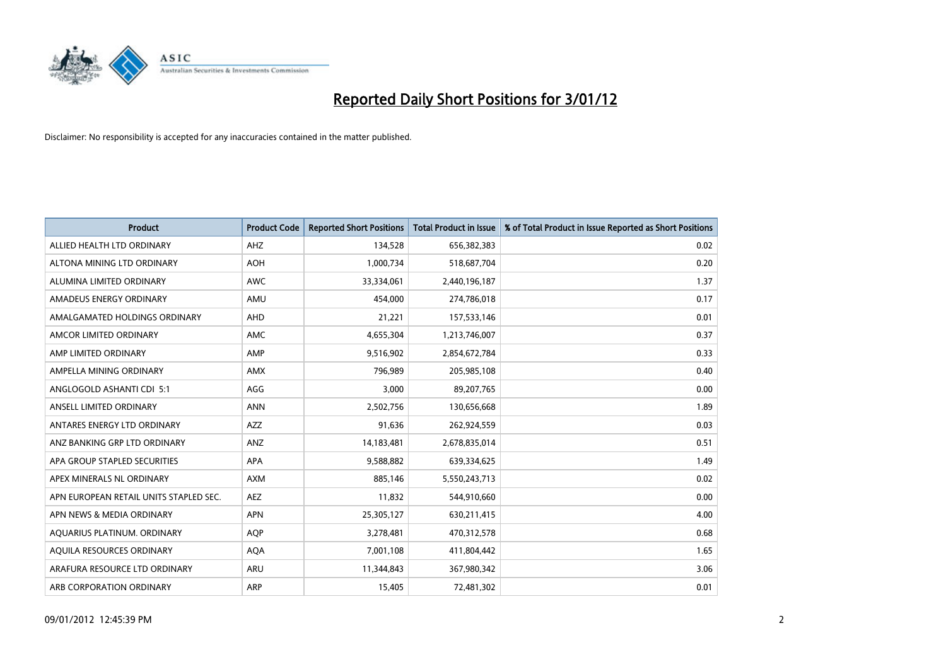

| <b>Product</b>                         | <b>Product Code</b> | <b>Reported Short Positions</b> | <b>Total Product in Issue</b> | % of Total Product in Issue Reported as Short Positions |
|----------------------------------------|---------------------|---------------------------------|-------------------------------|---------------------------------------------------------|
| ALLIED HEALTH LTD ORDINARY             | AHZ                 | 134,528                         | 656,382,383                   | 0.02                                                    |
| ALTONA MINING LTD ORDINARY             | <b>AOH</b>          | 1,000,734                       | 518,687,704                   | 0.20                                                    |
| ALUMINA LIMITED ORDINARY               | <b>AWC</b>          | 33,334,061                      | 2,440,196,187                 | 1.37                                                    |
| AMADEUS ENERGY ORDINARY                | AMU                 | 454,000                         | 274,786,018                   | 0.17                                                    |
| AMALGAMATED HOLDINGS ORDINARY          | AHD                 | 21,221                          | 157,533,146                   | 0.01                                                    |
| AMCOR LIMITED ORDINARY                 | AMC                 | 4,655,304                       | 1,213,746,007                 | 0.37                                                    |
| AMP LIMITED ORDINARY                   | AMP                 | 9,516,902                       | 2,854,672,784                 | 0.33                                                    |
| AMPELLA MINING ORDINARY                | <b>AMX</b>          | 796,989                         | 205,985,108                   | 0.40                                                    |
| ANGLOGOLD ASHANTI CDI 5:1              | AGG                 | 3,000                           | 89,207,765                    | 0.00                                                    |
| ANSELL LIMITED ORDINARY                | <b>ANN</b>          | 2,502,756                       | 130,656,668                   | 1.89                                                    |
| ANTARES ENERGY LTD ORDINARY            | <b>AZZ</b>          | 91,636                          | 262,924,559                   | 0.03                                                    |
| ANZ BANKING GRP LTD ORDINARY           | ANZ                 | 14,183,481                      | 2,678,835,014                 | 0.51                                                    |
| APA GROUP STAPLED SECURITIES           | <b>APA</b>          | 9,588,882                       | 639,334,625                   | 1.49                                                    |
| APEX MINERALS NL ORDINARY              | <b>AXM</b>          | 885,146                         | 5,550,243,713                 | 0.02                                                    |
| APN EUROPEAN RETAIL UNITS STAPLED SEC. | <b>AEZ</b>          | 11,832                          | 544,910,660                   | 0.00                                                    |
| APN NEWS & MEDIA ORDINARY              | <b>APN</b>          | 25,305,127                      | 630,211,415                   | 4.00                                                    |
| AQUARIUS PLATINUM. ORDINARY            | <b>AOP</b>          | 3,278,481                       | 470,312,578                   | 0.68                                                    |
| AQUILA RESOURCES ORDINARY              | <b>AQA</b>          | 7,001,108                       | 411,804,442                   | 1.65                                                    |
| ARAFURA RESOURCE LTD ORDINARY          | ARU                 | 11,344,843                      | 367,980,342                   | 3.06                                                    |
| ARB CORPORATION ORDINARY               | <b>ARP</b>          | 15,405                          | 72,481,302                    | 0.01                                                    |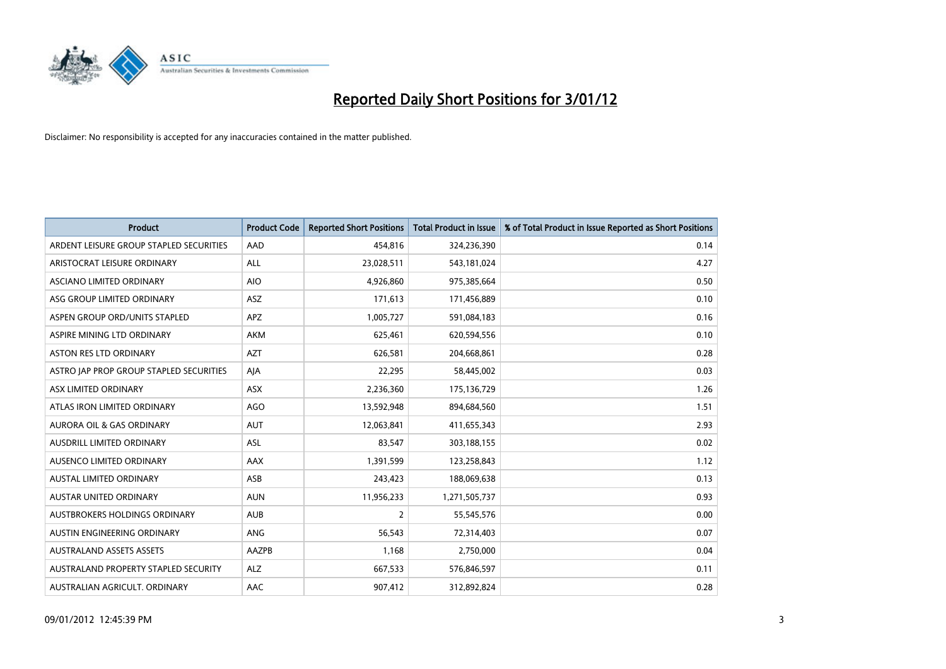

| <b>Product</b>                          | <b>Product Code</b> | <b>Reported Short Positions</b> | <b>Total Product in Issue</b> | % of Total Product in Issue Reported as Short Positions |
|-----------------------------------------|---------------------|---------------------------------|-------------------------------|---------------------------------------------------------|
| ARDENT LEISURE GROUP STAPLED SECURITIES | AAD                 | 454,816                         | 324,236,390                   | 0.14                                                    |
| ARISTOCRAT LEISURE ORDINARY             | <b>ALL</b>          | 23,028,511                      | 543,181,024                   | 4.27                                                    |
| ASCIANO LIMITED ORDINARY                | <b>AIO</b>          | 4,926,860                       | 975,385,664                   | 0.50                                                    |
| ASG GROUP LIMITED ORDINARY              | ASZ                 | 171,613                         | 171,456,889                   | 0.10                                                    |
| ASPEN GROUP ORD/UNITS STAPLED           | <b>APZ</b>          | 1,005,727                       | 591,084,183                   | 0.16                                                    |
| ASPIRE MINING LTD ORDINARY              | <b>AKM</b>          | 625,461                         | 620,594,556                   | 0.10                                                    |
| ASTON RES LTD ORDINARY                  | <b>AZT</b>          | 626,581                         | 204,668,861                   | 0.28                                                    |
| ASTRO JAP PROP GROUP STAPLED SECURITIES | AIA                 | 22,295                          | 58,445,002                    | 0.03                                                    |
| ASX LIMITED ORDINARY                    | <b>ASX</b>          | 2,236,360                       | 175,136,729                   | 1.26                                                    |
| ATLAS IRON LIMITED ORDINARY             | AGO                 | 13,592,948                      | 894,684,560                   | 1.51                                                    |
| AURORA OIL & GAS ORDINARY               | <b>AUT</b>          | 12,063,841                      | 411,655,343                   | 2.93                                                    |
| <b>AUSDRILL LIMITED ORDINARY</b>        | <b>ASL</b>          | 83,547                          | 303,188,155                   | 0.02                                                    |
| AUSENCO LIMITED ORDINARY                | AAX                 | 1,391,599                       | 123,258,843                   | 1.12                                                    |
| <b>AUSTAL LIMITED ORDINARY</b>          | ASB                 | 243,423                         | 188,069,638                   | 0.13                                                    |
| <b>AUSTAR UNITED ORDINARY</b>           | <b>AUN</b>          | 11,956,233                      | 1,271,505,737                 | 0.93                                                    |
| AUSTBROKERS HOLDINGS ORDINARY           | <b>AUB</b>          | 2                               | 55,545,576                    | 0.00                                                    |
| AUSTIN ENGINEERING ORDINARY             | ANG                 | 56,543                          | 72,314,403                    | 0.07                                                    |
| <b>AUSTRALAND ASSETS ASSETS</b>         | AAZPB               | 1,168                           | 2,750,000                     | 0.04                                                    |
| AUSTRALAND PROPERTY STAPLED SECURITY    | <b>ALZ</b>          | 667,533                         | 576,846,597                   | 0.11                                                    |
| AUSTRALIAN AGRICULT. ORDINARY           | AAC                 | 907,412                         | 312,892,824                   | 0.28                                                    |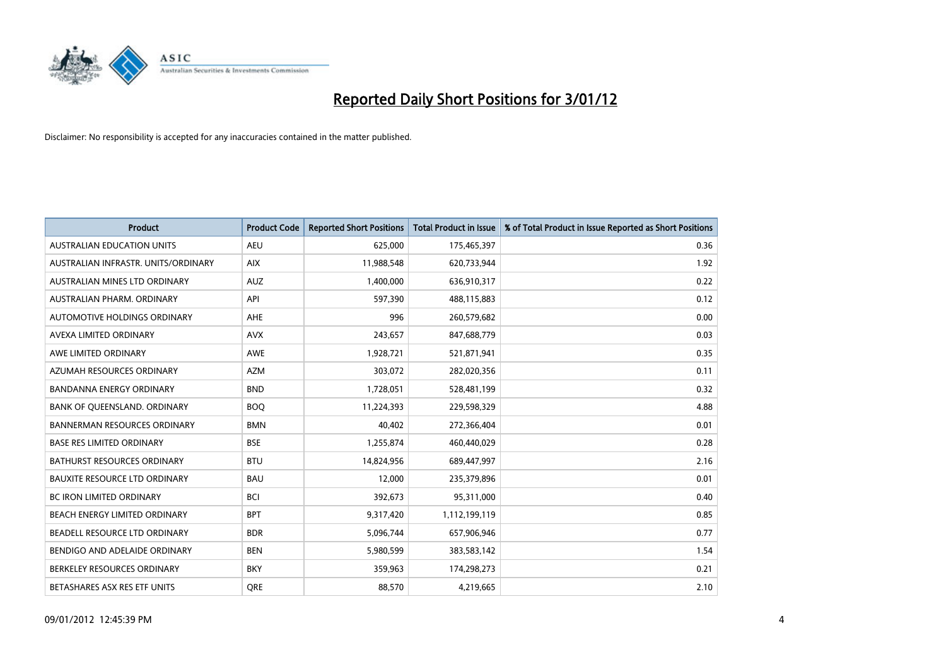

| <b>Product</b>                       | <b>Product Code</b> | <b>Reported Short Positions</b> | <b>Total Product in Issue</b> | % of Total Product in Issue Reported as Short Positions |
|--------------------------------------|---------------------|---------------------------------|-------------------------------|---------------------------------------------------------|
| <b>AUSTRALIAN EDUCATION UNITS</b>    | <b>AEU</b>          | 625,000                         | 175,465,397                   | 0.36                                                    |
| AUSTRALIAN INFRASTR. UNITS/ORDINARY  | <b>AIX</b>          | 11,988,548                      | 620,733,944                   | 1.92                                                    |
| AUSTRALIAN MINES LTD ORDINARY        | <b>AUZ</b>          | 1,400,000                       | 636,910,317                   | 0.22                                                    |
| AUSTRALIAN PHARM. ORDINARY           | API                 | 597,390                         | 488,115,883                   | 0.12                                                    |
| AUTOMOTIVE HOLDINGS ORDINARY         | <b>AHE</b>          | 996                             | 260,579,682                   | 0.00                                                    |
| AVEXA LIMITED ORDINARY               | <b>AVX</b>          | 243,657                         | 847,688,779                   | 0.03                                                    |
| AWE LIMITED ORDINARY                 | <b>AWE</b>          | 1,928,721                       | 521,871,941                   | 0.35                                                    |
| AZUMAH RESOURCES ORDINARY            | <b>AZM</b>          | 303,072                         | 282,020,356                   | 0.11                                                    |
| <b>BANDANNA ENERGY ORDINARY</b>      | <b>BND</b>          | 1,728,051                       | 528,481,199                   | 0.32                                                    |
| BANK OF QUEENSLAND. ORDINARY         | <b>BOQ</b>          | 11,224,393                      | 229,598,329                   | 4.88                                                    |
| <b>BANNERMAN RESOURCES ORDINARY</b>  | <b>BMN</b>          | 40,402                          | 272,366,404                   | 0.01                                                    |
| <b>BASE RES LIMITED ORDINARY</b>     | <b>BSE</b>          | 1,255,874                       | 460,440,029                   | 0.28                                                    |
| BATHURST RESOURCES ORDINARY          | <b>BTU</b>          | 14,824,956                      | 689,447,997                   | 2.16                                                    |
| <b>BAUXITE RESOURCE LTD ORDINARY</b> | <b>BAU</b>          | 12,000                          | 235,379,896                   | 0.01                                                    |
| <b>BC IRON LIMITED ORDINARY</b>      | <b>BCI</b>          | 392,673                         | 95,311,000                    | 0.40                                                    |
| BEACH ENERGY LIMITED ORDINARY        | <b>BPT</b>          | 9,317,420                       | 1,112,199,119                 | 0.85                                                    |
| BEADELL RESOURCE LTD ORDINARY        | <b>BDR</b>          | 5,096,744                       | 657,906,946                   | 0.77                                                    |
| BENDIGO AND ADELAIDE ORDINARY        | <b>BEN</b>          | 5,980,599                       | 383,583,142                   | 1.54                                                    |
| BERKELEY RESOURCES ORDINARY          | <b>BKY</b>          | 359,963                         | 174,298,273                   | 0.21                                                    |
| BETASHARES ASX RES ETF UNITS         | <b>ORE</b>          | 88,570                          | 4,219,665                     | 2.10                                                    |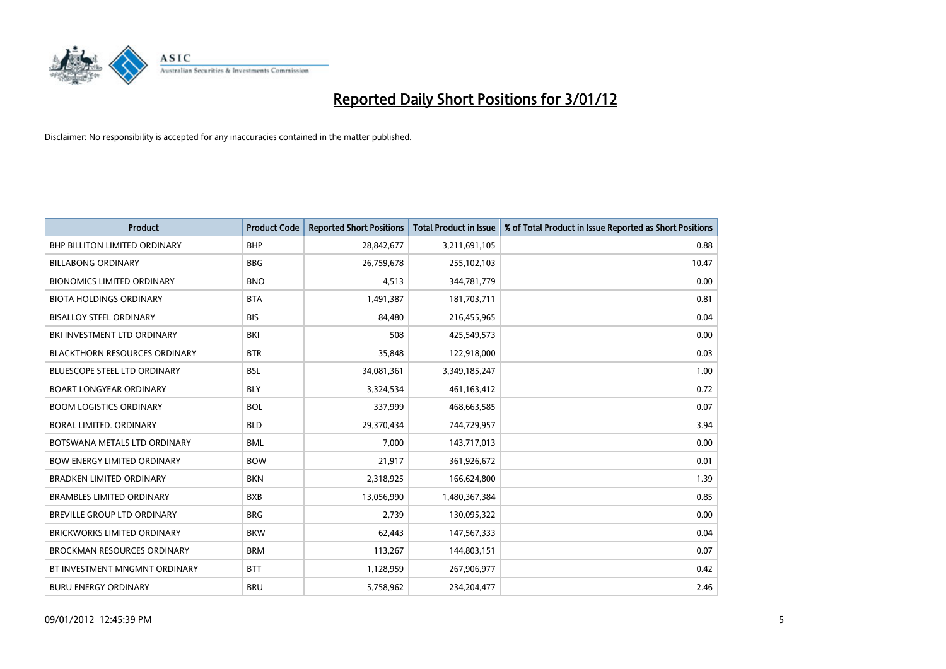

| <b>Product</b>                       | <b>Product Code</b> | <b>Reported Short Positions</b> | <b>Total Product in Issue</b> | % of Total Product in Issue Reported as Short Positions |
|--------------------------------------|---------------------|---------------------------------|-------------------------------|---------------------------------------------------------|
| <b>BHP BILLITON LIMITED ORDINARY</b> | <b>BHP</b>          | 28,842,677                      | 3,211,691,105                 | 0.88                                                    |
| <b>BILLABONG ORDINARY</b>            | <b>BBG</b>          | 26,759,678                      | 255,102,103                   | 10.47                                                   |
| <b>BIONOMICS LIMITED ORDINARY</b>    | <b>BNO</b>          | 4,513                           | 344,781,779                   | 0.00                                                    |
| <b>BIOTA HOLDINGS ORDINARY</b>       | <b>BTA</b>          | 1,491,387                       | 181,703,711                   | 0.81                                                    |
| <b>BISALLOY STEEL ORDINARY</b>       | <b>BIS</b>          | 84,480                          | 216,455,965                   | 0.04                                                    |
| BKI INVESTMENT LTD ORDINARY          | BKI                 | 508                             | 425,549,573                   | 0.00                                                    |
| <b>BLACKTHORN RESOURCES ORDINARY</b> | <b>BTR</b>          | 35,848                          | 122,918,000                   | 0.03                                                    |
| BLUESCOPE STEEL LTD ORDINARY         | <b>BSL</b>          | 34,081,361                      | 3,349,185,247                 | 1.00                                                    |
| <b>BOART LONGYEAR ORDINARY</b>       | <b>BLY</b>          | 3,324,534                       | 461,163,412                   | 0.72                                                    |
| <b>BOOM LOGISTICS ORDINARY</b>       | <b>BOL</b>          | 337,999                         | 468,663,585                   | 0.07                                                    |
| BORAL LIMITED, ORDINARY              | <b>BLD</b>          | 29,370,434                      | 744,729,957                   | 3.94                                                    |
| BOTSWANA METALS LTD ORDINARY         | <b>BML</b>          | 7,000                           | 143,717,013                   | 0.00                                                    |
| <b>BOW ENERGY LIMITED ORDINARY</b>   | <b>BOW</b>          | 21,917                          | 361,926,672                   | 0.01                                                    |
| <b>BRADKEN LIMITED ORDINARY</b>      | <b>BKN</b>          | 2,318,925                       | 166,624,800                   | 1.39                                                    |
| <b>BRAMBLES LIMITED ORDINARY</b>     | <b>BXB</b>          | 13,056,990                      | 1,480,367,384                 | 0.85                                                    |
| BREVILLE GROUP LTD ORDINARY          | <b>BRG</b>          | 2.739                           | 130,095,322                   | 0.00                                                    |
| <b>BRICKWORKS LIMITED ORDINARY</b>   | <b>BKW</b>          | 62,443                          | 147,567,333                   | 0.04                                                    |
| BROCKMAN RESOURCES ORDINARY          | <b>BRM</b>          | 113,267                         | 144,803,151                   | 0.07                                                    |
| BT INVESTMENT MNGMNT ORDINARY        | <b>BTT</b>          | 1,128,959                       | 267,906,977                   | 0.42                                                    |
| <b>BURU ENERGY ORDINARY</b>          | <b>BRU</b>          | 5,758,962                       | 234,204,477                   | 2.46                                                    |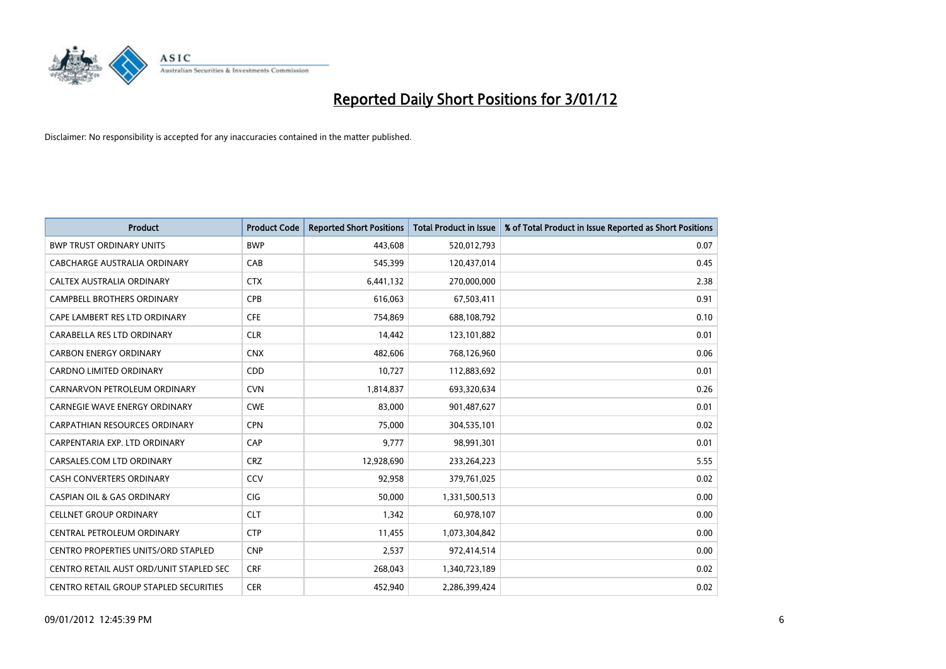

| <b>Product</b>                          | <b>Product Code</b> | <b>Reported Short Positions</b> | <b>Total Product in Issue</b> | % of Total Product in Issue Reported as Short Positions |
|-----------------------------------------|---------------------|---------------------------------|-------------------------------|---------------------------------------------------------|
| <b>BWP TRUST ORDINARY UNITS</b>         | <b>BWP</b>          | 443.608                         | 520,012,793                   | 0.07                                                    |
| CABCHARGE AUSTRALIA ORDINARY            | CAB                 | 545,399                         | 120,437,014                   | 0.45                                                    |
| <b>CALTEX AUSTRALIA ORDINARY</b>        | <b>CTX</b>          | 6,441,132                       | 270,000,000                   | 2.38                                                    |
| CAMPBELL BROTHERS ORDINARY              | <b>CPB</b>          | 616,063                         | 67,503,411                    | 0.91                                                    |
| CAPE LAMBERT RES LTD ORDINARY           | <b>CFE</b>          | 754,869                         | 688,108,792                   | 0.10                                                    |
| CARABELLA RES LTD ORDINARY              | <b>CLR</b>          | 14,442                          | 123,101,882                   | 0.01                                                    |
| <b>CARBON ENERGY ORDINARY</b>           | <b>CNX</b>          | 482,606                         | 768,126,960                   | 0.06                                                    |
| CARDNO LIMITED ORDINARY                 | CDD                 | 10,727                          | 112,883,692                   | 0.01                                                    |
| CARNARVON PETROLEUM ORDINARY            | <b>CVN</b>          | 1,814,837                       | 693,320,634                   | 0.26                                                    |
| <b>CARNEGIE WAVE ENERGY ORDINARY</b>    | <b>CWE</b>          | 83,000                          | 901,487,627                   | 0.01                                                    |
| CARPATHIAN RESOURCES ORDINARY           | <b>CPN</b>          | 75,000                          | 304,535,101                   | 0.02                                                    |
| CARPENTARIA EXP. LTD ORDINARY           | CAP                 | 9,777                           | 98,991,301                    | 0.01                                                    |
| CARSALES.COM LTD ORDINARY               | <b>CRZ</b>          | 12,928,690                      | 233, 264, 223                 | 5.55                                                    |
| CASH CONVERTERS ORDINARY                | CCV                 | 92,958                          | 379,761,025                   | 0.02                                                    |
| <b>CASPIAN OIL &amp; GAS ORDINARY</b>   | <b>CIG</b>          | 50,000                          | 1,331,500,513                 | 0.00                                                    |
| <b>CELLNET GROUP ORDINARY</b>           | <b>CLT</b>          | 1,342                           | 60,978,107                    | 0.00                                                    |
| CENTRAL PETROLEUM ORDINARY              | <b>CTP</b>          | 11,455                          | 1,073,304,842                 | 0.00                                                    |
| CENTRO PROPERTIES UNITS/ORD STAPLED     | <b>CNP</b>          | 2,537                           | 972,414,514                   | 0.00                                                    |
| CENTRO RETAIL AUST ORD/UNIT STAPLED SEC | <b>CRF</b>          | 268,043                         | 1,340,723,189                 | 0.02                                                    |
| CENTRO RETAIL GROUP STAPLED SECURITIES  | <b>CER</b>          | 452,940                         | 2,286,399,424                 | 0.02                                                    |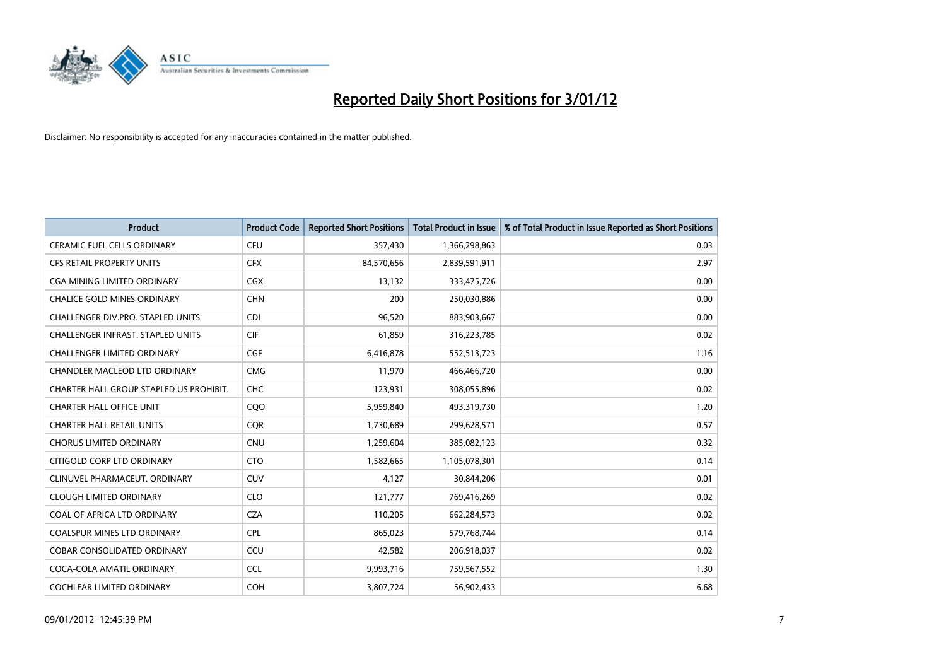

| <b>Product</b>                           | <b>Product Code</b> | <b>Reported Short Positions</b> | <b>Total Product in Issue</b> | % of Total Product in Issue Reported as Short Positions |
|------------------------------------------|---------------------|---------------------------------|-------------------------------|---------------------------------------------------------|
| <b>CERAMIC FUEL CELLS ORDINARY</b>       | <b>CFU</b>          | 357,430                         | 1,366,298,863                 | 0.03                                                    |
| CFS RETAIL PROPERTY UNITS                | <b>CFX</b>          | 84,570,656                      | 2,839,591,911                 | 2.97                                                    |
| <b>CGA MINING LIMITED ORDINARY</b>       | <b>CGX</b>          | 13,132                          | 333,475,726                   | 0.00                                                    |
| CHALICE GOLD MINES ORDINARY              | <b>CHN</b>          | 200                             | 250,030,886                   | 0.00                                                    |
| CHALLENGER DIV.PRO. STAPLED UNITS        | <b>CDI</b>          | 96,520                          | 883,903,667                   | 0.00                                                    |
| <b>CHALLENGER INFRAST, STAPLED UNITS</b> | <b>CIF</b>          | 61,859                          | 316,223,785                   | 0.02                                                    |
| <b>CHALLENGER LIMITED ORDINARY</b>       | <b>CGF</b>          | 6,416,878                       | 552,513,723                   | 1.16                                                    |
| CHANDLER MACLEOD LTD ORDINARY            | <b>CMG</b>          | 11,970                          | 466,466,720                   | 0.00                                                    |
| CHARTER HALL GROUP STAPLED US PROHIBIT.  | <b>CHC</b>          | 123,931                         | 308,055,896                   | 0.02                                                    |
| <b>CHARTER HALL OFFICE UNIT</b>          | CQ <sub>O</sub>     | 5,959,840                       | 493,319,730                   | 1.20                                                    |
| <b>CHARTER HALL RETAIL UNITS</b>         | <b>CQR</b>          | 1,730,689                       | 299,628,571                   | 0.57                                                    |
| <b>CHORUS LIMITED ORDINARY</b>           | <b>CNU</b>          | 1,259,604                       | 385,082,123                   | 0.32                                                    |
| CITIGOLD CORP LTD ORDINARY               | <b>CTO</b>          | 1,582,665                       | 1,105,078,301                 | 0.14                                                    |
| CLINUVEL PHARMACEUT, ORDINARY            | <b>CUV</b>          | 4,127                           | 30,844,206                    | 0.01                                                    |
| <b>CLOUGH LIMITED ORDINARY</b>           | <b>CLO</b>          | 121,777                         | 769,416,269                   | 0.02                                                    |
| COAL OF AFRICA LTD ORDINARY              | <b>CZA</b>          | 110,205                         | 662,284,573                   | 0.02                                                    |
| <b>COALSPUR MINES LTD ORDINARY</b>       | <b>CPL</b>          | 865,023                         | 579,768,744                   | 0.14                                                    |
| COBAR CONSOLIDATED ORDINARY              | CCU                 | 42,582                          | 206,918,037                   | 0.02                                                    |
| COCA-COLA AMATIL ORDINARY                | <b>CCL</b>          | 9,993,716                       | 759,567,552                   | 1.30                                                    |
| COCHLEAR LIMITED ORDINARY                | <b>COH</b>          | 3,807,724                       | 56,902,433                    | 6.68                                                    |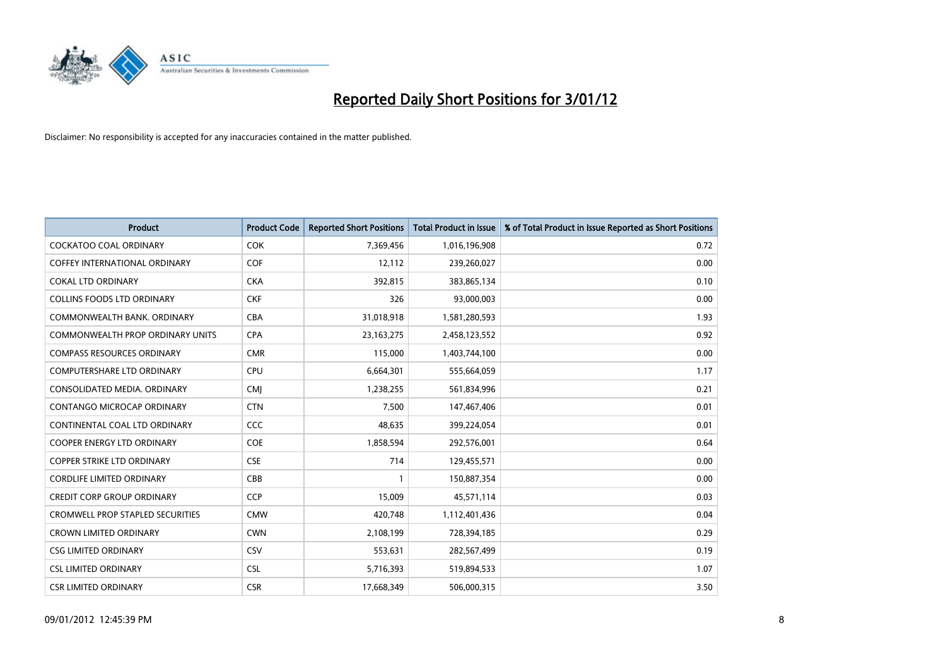

| <b>Product</b>                          | <b>Product Code</b> | <b>Reported Short Positions</b> | <b>Total Product in Issue</b> | % of Total Product in Issue Reported as Short Positions |
|-----------------------------------------|---------------------|---------------------------------|-------------------------------|---------------------------------------------------------|
| <b>COCKATOO COAL ORDINARY</b>           | <b>COK</b>          | 7,369,456                       | 1,016,196,908                 | 0.72                                                    |
| <b>COFFEY INTERNATIONAL ORDINARY</b>    | <b>COF</b>          | 12,112                          | 239,260,027                   | 0.00                                                    |
| <b>COKAL LTD ORDINARY</b>               | <b>CKA</b>          | 392,815                         | 383,865,134                   | 0.10                                                    |
| <b>COLLINS FOODS LTD ORDINARY</b>       | <b>CKF</b>          | 326                             | 93,000,003                    | 0.00                                                    |
| COMMONWEALTH BANK, ORDINARY             | CBA                 | 31,018,918                      | 1,581,280,593                 | 1.93                                                    |
| <b>COMMONWEALTH PROP ORDINARY UNITS</b> | <b>CPA</b>          | 23, 163, 275                    | 2,458,123,552                 | 0.92                                                    |
| <b>COMPASS RESOURCES ORDINARY</b>       | <b>CMR</b>          | 115,000                         | 1,403,744,100                 | 0.00                                                    |
| <b>COMPUTERSHARE LTD ORDINARY</b>       | CPU                 | 6,664,301                       | 555,664,059                   | 1.17                                                    |
| CONSOLIDATED MEDIA. ORDINARY            | <b>CMI</b>          | 1,238,255                       | 561,834,996                   | 0.21                                                    |
| <b>CONTANGO MICROCAP ORDINARY</b>       | <b>CTN</b>          | 7.500                           | 147,467,406                   | 0.01                                                    |
| CONTINENTAL COAL LTD ORDINARY           | <b>CCC</b>          | 48,635                          | 399,224,054                   | 0.01                                                    |
| <b>COOPER ENERGY LTD ORDINARY</b>       | <b>COE</b>          | 1,858,594                       | 292,576,001                   | 0.64                                                    |
| <b>COPPER STRIKE LTD ORDINARY</b>       | <b>CSE</b>          | 714                             | 129,455,571                   | 0.00                                                    |
| <b>CORDLIFE LIMITED ORDINARY</b>        | CBB                 |                                 | 150,887,354                   | 0.00                                                    |
| <b>CREDIT CORP GROUP ORDINARY</b>       | <b>CCP</b>          | 15,009                          | 45,571,114                    | 0.03                                                    |
| <b>CROMWELL PROP STAPLED SECURITIES</b> | <b>CMW</b>          | 420.748                         | 1,112,401,436                 | 0.04                                                    |
| <b>CROWN LIMITED ORDINARY</b>           | <b>CWN</b>          | 2,108,199                       | 728,394,185                   | 0.29                                                    |
| <b>CSG LIMITED ORDINARY</b>             | CSV                 | 553,631                         | 282,567,499                   | 0.19                                                    |
| <b>CSL LIMITED ORDINARY</b>             | <b>CSL</b>          | 5,716,393                       | 519,894,533                   | 1.07                                                    |
| <b>CSR LIMITED ORDINARY</b>             | <b>CSR</b>          | 17,668,349                      | 506,000,315                   | 3.50                                                    |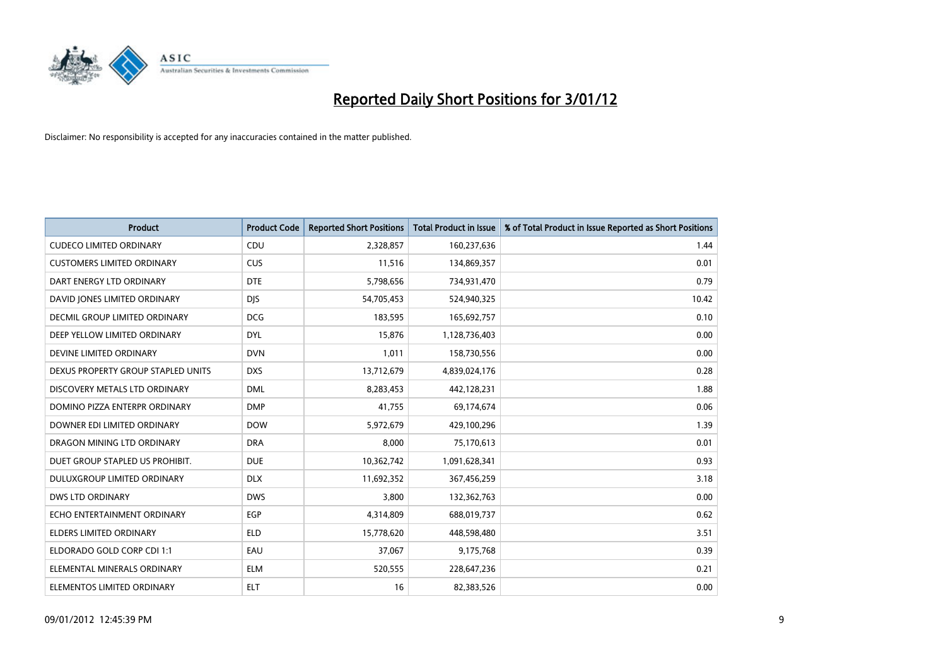

| <b>Product</b>                     | <b>Product Code</b> | <b>Reported Short Positions</b> | <b>Total Product in Issue</b> | % of Total Product in Issue Reported as Short Positions |
|------------------------------------|---------------------|---------------------------------|-------------------------------|---------------------------------------------------------|
| <b>CUDECO LIMITED ORDINARY</b>     | CDU                 | 2,328,857                       | 160,237,636                   | 1.44                                                    |
| <b>CUSTOMERS LIMITED ORDINARY</b>  | CUS                 | 11,516                          | 134,869,357                   | 0.01                                                    |
| DART ENERGY LTD ORDINARY           | <b>DTE</b>          | 5,798,656                       | 734,931,470                   | 0.79                                                    |
| DAVID JONES LIMITED ORDINARY       | <b>DJS</b>          | 54,705,453                      | 524,940,325                   | 10.42                                                   |
| DECMIL GROUP LIMITED ORDINARY      | <b>DCG</b>          | 183,595                         | 165,692,757                   | 0.10                                                    |
| DEEP YELLOW LIMITED ORDINARY       | <b>DYL</b>          | 15,876                          | 1,128,736,403                 | 0.00                                                    |
| DEVINE LIMITED ORDINARY            | <b>DVN</b>          | 1,011                           | 158,730,556                   | 0.00                                                    |
| DEXUS PROPERTY GROUP STAPLED UNITS | <b>DXS</b>          | 13,712,679                      | 4,839,024,176                 | 0.28                                                    |
| DISCOVERY METALS LTD ORDINARY      | <b>DML</b>          | 8,283,453                       | 442,128,231                   | 1.88                                                    |
| DOMINO PIZZA ENTERPR ORDINARY      | <b>DMP</b>          | 41,755                          | 69,174,674                    | 0.06                                                    |
| DOWNER EDI LIMITED ORDINARY        | <b>DOW</b>          | 5,972,679                       | 429,100,296                   | 1.39                                                    |
| DRAGON MINING LTD ORDINARY         | <b>DRA</b>          | 8,000                           | 75,170,613                    | 0.01                                                    |
| DUET GROUP STAPLED US PROHIBIT.    | <b>DUE</b>          | 10,362,742                      | 1,091,628,341                 | 0.93                                                    |
| DULUXGROUP LIMITED ORDINARY        | <b>DLX</b>          | 11,692,352                      | 367,456,259                   | 3.18                                                    |
| <b>DWS LTD ORDINARY</b>            | <b>DWS</b>          | 3,800                           | 132,362,763                   | 0.00                                                    |
| ECHO ENTERTAINMENT ORDINARY        | <b>EGP</b>          | 4,314,809                       | 688,019,737                   | 0.62                                                    |
| ELDERS LIMITED ORDINARY            | <b>ELD</b>          | 15,778,620                      | 448,598,480                   | 3.51                                                    |
| ELDORADO GOLD CORP CDI 1:1         | EAU                 | 37,067                          | 9,175,768                     | 0.39                                                    |
| ELEMENTAL MINERALS ORDINARY        | <b>ELM</b>          | 520,555                         | 228,647,236                   | 0.21                                                    |
| ELEMENTOS LIMITED ORDINARY         | <b>ELT</b>          | 16                              | 82,383,526                    | 0.00                                                    |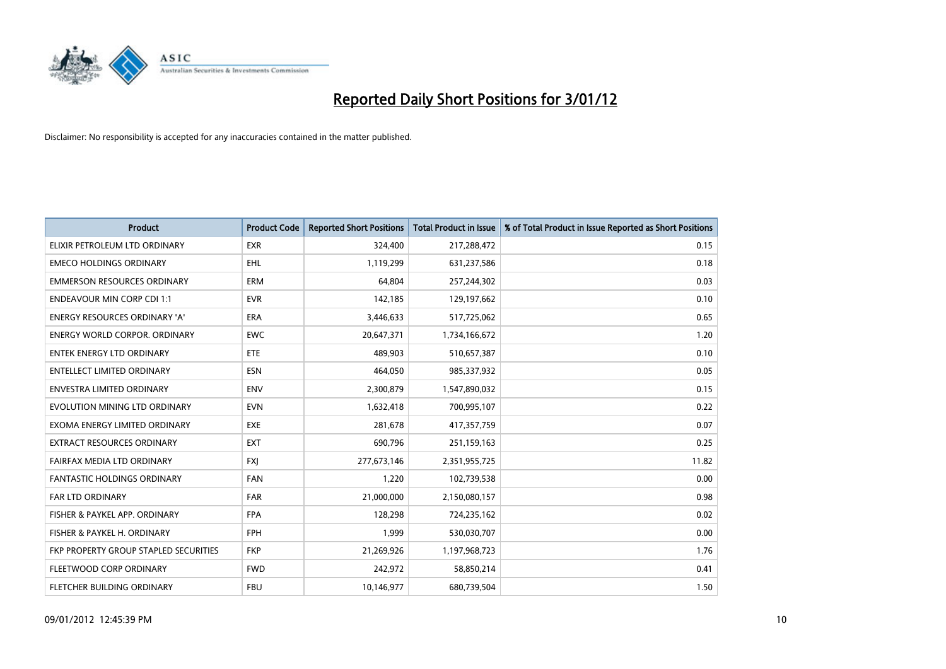

| <b>Product</b>                        | <b>Product Code</b> | <b>Reported Short Positions</b> | <b>Total Product in Issue</b> | % of Total Product in Issue Reported as Short Positions |
|---------------------------------------|---------------------|---------------------------------|-------------------------------|---------------------------------------------------------|
| ELIXIR PETROLEUM LTD ORDINARY         | <b>EXR</b>          | 324,400                         | 217,288,472                   | 0.15                                                    |
| <b>EMECO HOLDINGS ORDINARY</b>        | <b>EHL</b>          | 1,119,299                       | 631,237,586                   | 0.18                                                    |
| <b>EMMERSON RESOURCES ORDINARY</b>    | <b>ERM</b>          | 64.804                          | 257,244,302                   | 0.03                                                    |
| <b>ENDEAVOUR MIN CORP CDI 1:1</b>     | <b>EVR</b>          | 142,185                         | 129,197,662                   | 0.10                                                    |
| <b>ENERGY RESOURCES ORDINARY 'A'</b>  | <b>ERA</b>          | 3,446,633                       | 517,725,062                   | 0.65                                                    |
| <b>ENERGY WORLD CORPOR, ORDINARY</b>  | <b>EWC</b>          | 20,647,371                      | 1,734,166,672                 | 1.20                                                    |
| <b>ENTEK ENERGY LTD ORDINARY</b>      | ETE                 | 489,903                         | 510,657,387                   | 0.10                                                    |
| ENTELLECT LIMITED ORDINARY            | <b>ESN</b>          | 464,050                         | 985,337,932                   | 0.05                                                    |
| <b>ENVESTRA LIMITED ORDINARY</b>      | <b>ENV</b>          | 2,300,879                       | 1,547,890,032                 | 0.15                                                    |
| EVOLUTION MINING LTD ORDINARY         | <b>EVN</b>          | 1,632,418                       | 700,995,107                   | 0.22                                                    |
| EXOMA ENERGY LIMITED ORDINARY         | <b>EXE</b>          | 281,678                         | 417,357,759                   | 0.07                                                    |
| <b>EXTRACT RESOURCES ORDINARY</b>     | <b>EXT</b>          | 690,796                         | 251,159,163                   | 0.25                                                    |
| FAIRFAX MEDIA LTD ORDINARY            | <b>FXI</b>          | 277,673,146                     | 2,351,955,725                 | 11.82                                                   |
| <b>FANTASTIC HOLDINGS ORDINARY</b>    | <b>FAN</b>          | 1,220                           | 102,739,538                   | 0.00                                                    |
| FAR LTD ORDINARY                      | <b>FAR</b>          | 21,000,000                      | 2,150,080,157                 | 0.98                                                    |
| FISHER & PAYKEL APP. ORDINARY         | <b>FPA</b>          | 128,298                         | 724,235,162                   | 0.02                                                    |
| FISHER & PAYKEL H. ORDINARY           | <b>FPH</b>          | 1,999                           | 530,030,707                   | 0.00                                                    |
| FKP PROPERTY GROUP STAPLED SECURITIES | <b>FKP</b>          | 21,269,926                      | 1,197,968,723                 | 1.76                                                    |
| FLEETWOOD CORP ORDINARY               | <b>FWD</b>          | 242,972                         | 58,850,214                    | 0.41                                                    |
| FLETCHER BUILDING ORDINARY            | <b>FBU</b>          | 10,146,977                      | 680,739,504                   | 1.50                                                    |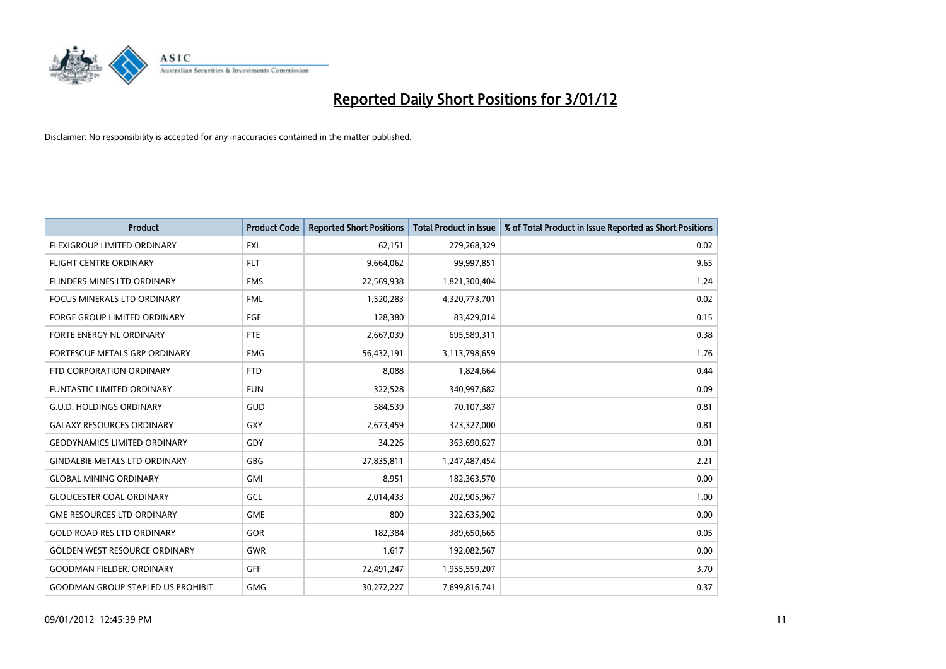

| <b>Product</b>                            | <b>Product Code</b> | <b>Reported Short Positions</b> | <b>Total Product in Issue</b> | % of Total Product in Issue Reported as Short Positions |
|-------------------------------------------|---------------------|---------------------------------|-------------------------------|---------------------------------------------------------|
| FLEXIGROUP LIMITED ORDINARY               | <b>FXL</b>          | 62,151                          | 279,268,329                   | 0.02                                                    |
| FLIGHT CENTRE ORDINARY                    | <b>FLT</b>          | 9,664,062                       | 99,997,851                    | 9.65                                                    |
| FLINDERS MINES LTD ORDINARY               | <b>FMS</b>          | 22,569,938                      | 1,821,300,404                 | 1.24                                                    |
| FOCUS MINERALS LTD ORDINARY               | <b>FML</b>          | 1,520,283                       | 4,320,773,701                 | 0.02                                                    |
| <b>FORGE GROUP LIMITED ORDINARY</b>       | FGE                 | 128,380                         | 83,429,014                    | 0.15                                                    |
| FORTE ENERGY NL ORDINARY                  | <b>FTE</b>          | 2,667,039                       | 695,589,311                   | 0.38                                                    |
| FORTESCUE METALS GRP ORDINARY             | <b>FMG</b>          | 56,432,191                      | 3,113,798,659                 | 1.76                                                    |
| FTD CORPORATION ORDINARY                  | <b>FTD</b>          | 8,088                           | 1,824,664                     | 0.44                                                    |
| <b>FUNTASTIC LIMITED ORDINARY</b>         | <b>FUN</b>          | 322,528                         | 340,997,682                   | 0.09                                                    |
| <b>G.U.D. HOLDINGS ORDINARY</b>           | <b>GUD</b>          | 584,539                         | 70,107,387                    | 0.81                                                    |
| <b>GALAXY RESOURCES ORDINARY</b>          | GXY                 | 2,673,459                       | 323,327,000                   | 0.81                                                    |
| <b>GEODYNAMICS LIMITED ORDINARY</b>       | GDY                 | 34,226                          | 363,690,627                   | 0.01                                                    |
| <b>GINDALBIE METALS LTD ORDINARY</b>      | <b>GBG</b>          | 27,835,811                      | 1,247,487,454                 | 2.21                                                    |
| <b>GLOBAL MINING ORDINARY</b>             | GMI                 | 8,951                           | 182,363,570                   | 0.00                                                    |
| <b>GLOUCESTER COAL ORDINARY</b>           | GCL                 | 2,014,433                       | 202,905,967                   | 1.00                                                    |
| <b>GME RESOURCES LTD ORDINARY</b>         | <b>GME</b>          | 800                             | 322,635,902                   | 0.00                                                    |
| <b>GOLD ROAD RES LTD ORDINARY</b>         | <b>GOR</b>          | 182,384                         | 389,650,665                   | 0.05                                                    |
| <b>GOLDEN WEST RESOURCE ORDINARY</b>      | <b>GWR</b>          | 1,617                           | 192,082,567                   | 0.00                                                    |
| <b>GOODMAN FIELDER, ORDINARY</b>          | <b>GFF</b>          | 72,491,247                      | 1,955,559,207                 | 3.70                                                    |
| <b>GOODMAN GROUP STAPLED US PROHIBIT.</b> | <b>GMG</b>          | 30,272,227                      | 7,699,816,741                 | 0.37                                                    |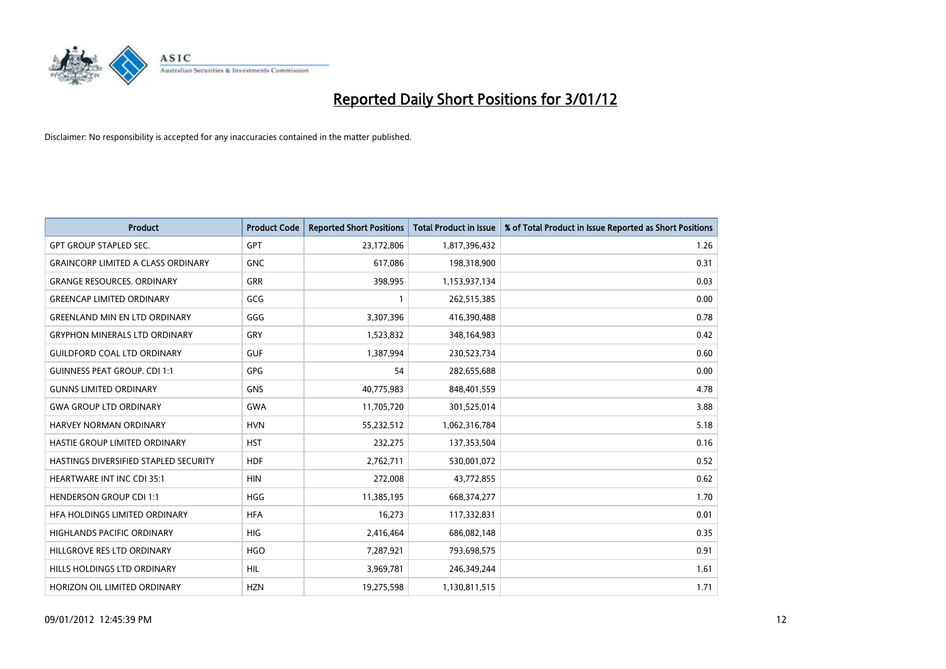

| <b>Product</b>                            | <b>Product Code</b> | <b>Reported Short Positions</b> | <b>Total Product in Issue</b> | % of Total Product in Issue Reported as Short Positions |
|-------------------------------------------|---------------------|---------------------------------|-------------------------------|---------------------------------------------------------|
| <b>GPT GROUP STAPLED SEC.</b>             | <b>GPT</b>          | 23,172,806                      | 1,817,396,432                 | 1.26                                                    |
| <b>GRAINCORP LIMITED A CLASS ORDINARY</b> | <b>GNC</b>          | 617,086                         | 198,318,900                   | 0.31                                                    |
| <b>GRANGE RESOURCES, ORDINARY</b>         | <b>GRR</b>          | 398,995                         | 1,153,937,134                 | 0.03                                                    |
| <b>GREENCAP LIMITED ORDINARY</b>          | GCG                 | $\mathbf{1}$                    | 262,515,385                   | 0.00                                                    |
| <b>GREENLAND MIN EN LTD ORDINARY</b>      | GGG                 | 3,307,396                       | 416,390,488                   | 0.78                                                    |
| <b>GRYPHON MINERALS LTD ORDINARY</b>      | GRY                 | 1,523,832                       | 348,164,983                   | 0.42                                                    |
| <b>GUILDFORD COAL LTD ORDINARY</b>        | <b>GUF</b>          | 1,387,994                       | 230,523,734                   | 0.60                                                    |
| <b>GUINNESS PEAT GROUP. CDI 1:1</b>       | GPG                 | 54                              | 282,655,688                   | 0.00                                                    |
| <b>GUNNS LIMITED ORDINARY</b>             | <b>GNS</b>          | 40,775,983                      | 848,401,559                   | 4.78                                                    |
| <b>GWA GROUP LTD ORDINARY</b>             | <b>GWA</b>          | 11,705,720                      | 301,525,014                   | 3.88                                                    |
| <b>HARVEY NORMAN ORDINARY</b>             | <b>HVN</b>          | 55,232,512                      | 1,062,316,784                 | 5.18                                                    |
| HASTIE GROUP LIMITED ORDINARY             | <b>HST</b>          | 232,275                         | 137,353,504                   | 0.16                                                    |
| HASTINGS DIVERSIFIED STAPLED SECURITY     | <b>HDF</b>          | 2,762,711                       | 530,001,072                   | 0.52                                                    |
| <b>HEARTWARE INT INC CDI 35:1</b>         | <b>HIN</b>          | 272,008                         | 43,772,855                    | 0.62                                                    |
| <b>HENDERSON GROUP CDI 1:1</b>            | <b>HGG</b>          | 11,385,195                      | 668,374,277                   | 1.70                                                    |
| HFA HOLDINGS LIMITED ORDINARY             | <b>HFA</b>          | 16,273                          | 117,332,831                   | 0.01                                                    |
| <b>HIGHLANDS PACIFIC ORDINARY</b>         | <b>HIG</b>          | 2,416,464                       | 686,082,148                   | 0.35                                                    |
| HILLGROVE RES LTD ORDINARY                | <b>HGO</b>          | 7,287,921                       | 793,698,575                   | 0.91                                                    |
| HILLS HOLDINGS LTD ORDINARY               | <b>HIL</b>          | 3,969,781                       | 246,349,244                   | 1.61                                                    |
| HORIZON OIL LIMITED ORDINARY              | <b>HZN</b>          | 19,275,598                      | 1,130,811,515                 | 1.71                                                    |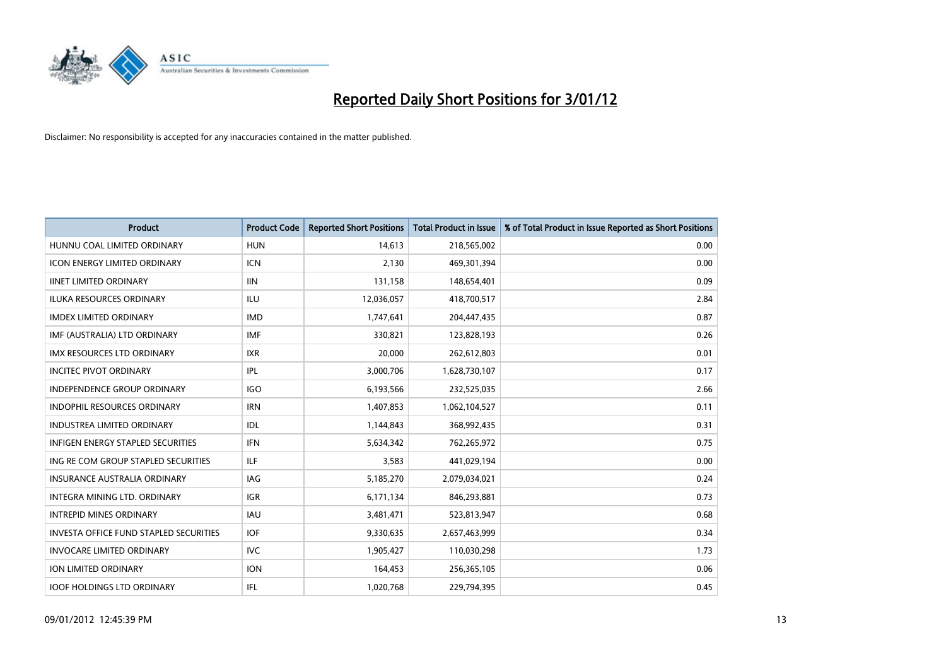

| <b>Product</b>                                | <b>Product Code</b> | <b>Reported Short Positions</b> | <b>Total Product in Issue</b> | % of Total Product in Issue Reported as Short Positions |
|-----------------------------------------------|---------------------|---------------------------------|-------------------------------|---------------------------------------------------------|
| HUNNU COAL LIMITED ORDINARY                   | <b>HUN</b>          | 14,613                          | 218,565,002                   | 0.00                                                    |
| <b>ICON ENERGY LIMITED ORDINARY</b>           | <b>ICN</b>          | 2.130                           | 469,301,394                   | 0.00                                                    |
| <b>IINET LIMITED ORDINARY</b>                 | <b>IIN</b>          | 131,158                         | 148,654,401                   | 0.09                                                    |
| ILUKA RESOURCES ORDINARY                      | ILU                 | 12,036,057                      | 418,700,517                   | 2.84                                                    |
| <b>IMDEX LIMITED ORDINARY</b>                 | <b>IMD</b>          | 1,747,641                       | 204,447,435                   | 0.87                                                    |
| IMF (AUSTRALIA) LTD ORDINARY                  | <b>IMF</b>          | 330,821                         | 123,828,193                   | 0.26                                                    |
| <b>IMX RESOURCES LTD ORDINARY</b>             | <b>IXR</b>          | 20.000                          | 262,612,803                   | 0.01                                                    |
| <b>INCITEC PIVOT ORDINARY</b>                 | IPL                 | 3,000,706                       | 1,628,730,107                 | 0.17                                                    |
| INDEPENDENCE GROUP ORDINARY                   | <b>IGO</b>          | 6,193,566                       | 232,525,035                   | 2.66                                                    |
| <b>INDOPHIL RESOURCES ORDINARY</b>            | <b>IRN</b>          | 1,407,853                       | 1,062,104,527                 | 0.11                                                    |
| <b>INDUSTREA LIMITED ORDINARY</b>             | IDL                 | 1,144,843                       | 368,992,435                   | 0.31                                                    |
| <b>INFIGEN ENERGY STAPLED SECURITIES</b>      | <b>IFN</b>          | 5,634,342                       | 762,265,972                   | 0.75                                                    |
| ING RE COM GROUP STAPLED SECURITIES           | <b>ILF</b>          | 3,583                           | 441,029,194                   | 0.00                                                    |
| <b>INSURANCE AUSTRALIA ORDINARY</b>           | <b>IAG</b>          | 5,185,270                       | 2,079,034,021                 | 0.24                                                    |
| <b>INTEGRA MINING LTD, ORDINARY</b>           | <b>IGR</b>          | 6,171,134                       | 846,293,881                   | 0.73                                                    |
| <b>INTREPID MINES ORDINARY</b>                | <b>IAU</b>          | 3,481,471                       | 523,813,947                   | 0.68                                                    |
| <b>INVESTA OFFICE FUND STAPLED SECURITIES</b> | <b>IOF</b>          | 9,330,635                       | 2,657,463,999                 | 0.34                                                    |
| <b>INVOCARE LIMITED ORDINARY</b>              | IVC                 | 1,905,427                       | 110,030,298                   | 1.73                                                    |
| <b>ION LIMITED ORDINARY</b>                   | <b>ION</b>          | 164,453                         | 256,365,105                   | 0.06                                                    |
| <b>IOOF HOLDINGS LTD ORDINARY</b>             | <b>IFL</b>          | 1,020,768                       | 229.794.395                   | 0.45                                                    |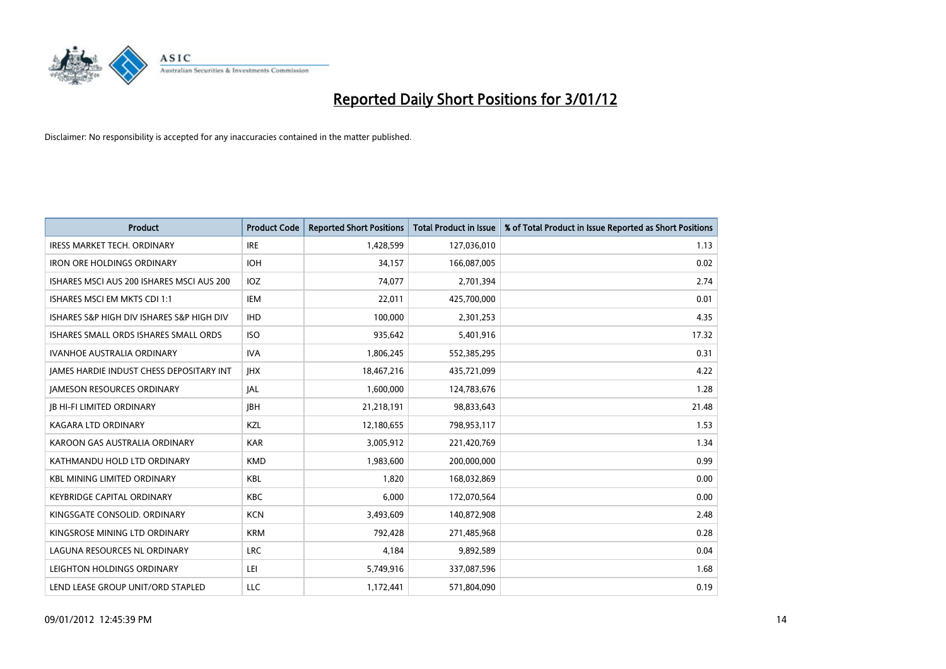

| <b>Product</b>                            | <b>Product Code</b> | <b>Reported Short Positions</b> | <b>Total Product in Issue</b> | % of Total Product in Issue Reported as Short Positions |
|-------------------------------------------|---------------------|---------------------------------|-------------------------------|---------------------------------------------------------|
| <b>IRESS MARKET TECH. ORDINARY</b>        | <b>IRE</b>          | 1,428,599                       | 127,036,010                   | 1.13                                                    |
| <b>IRON ORE HOLDINGS ORDINARY</b>         | <b>IOH</b>          | 34,157                          | 166,087,005                   | 0.02                                                    |
| ISHARES MSCI AUS 200 ISHARES MSCI AUS 200 | <b>IOZ</b>          | 74,077                          | 2,701,394                     | 2.74                                                    |
| ISHARES MSCI EM MKTS CDI 1:1              | <b>IEM</b>          | 22,011                          | 425,700,000                   | 0.01                                                    |
| ISHARES S&P HIGH DIV ISHARES S&P HIGH DIV | <b>IHD</b>          | 100,000                         | 2,301,253                     | 4.35                                                    |
| ISHARES SMALL ORDS ISHARES SMALL ORDS     | <b>ISO</b>          | 935,642                         | 5,401,916                     | 17.32                                                   |
| <b>IVANHOE AUSTRALIA ORDINARY</b>         | <b>IVA</b>          | 1,806,245                       | 552,385,295                   | 0.31                                                    |
| JAMES HARDIE INDUST CHESS DEPOSITARY INT  | <b>IHX</b>          | 18,467,216                      | 435,721,099                   | 4.22                                                    |
| <b>JAMESON RESOURCES ORDINARY</b>         | <b>JAL</b>          | 1,600,000                       | 124,783,676                   | 1.28                                                    |
| <b>JB HI-FI LIMITED ORDINARY</b>          | <b>IBH</b>          | 21,218,191                      | 98,833,643                    | 21.48                                                   |
| <b>KAGARA LTD ORDINARY</b>                | <b>KZL</b>          | 12,180,655                      | 798,953,117                   | 1.53                                                    |
| KAROON GAS AUSTRALIA ORDINARY             | <b>KAR</b>          | 3,005,912                       | 221,420,769                   | 1.34                                                    |
| KATHMANDU HOLD LTD ORDINARY               | <b>KMD</b>          | 1,983,600                       | 200,000,000                   | 0.99                                                    |
| <b>KBL MINING LIMITED ORDINARY</b>        | <b>KBL</b>          | 1.820                           | 168,032,869                   | 0.00                                                    |
| <b>KEYBRIDGE CAPITAL ORDINARY</b>         | <b>KBC</b>          | 6.000                           | 172,070,564                   | 0.00                                                    |
| KINGSGATE CONSOLID, ORDINARY              | <b>KCN</b>          | 3,493,609                       | 140,872,908                   | 2.48                                                    |
| KINGSROSE MINING LTD ORDINARY             | <b>KRM</b>          | 792,428                         | 271,485,968                   | 0.28                                                    |
| LAGUNA RESOURCES NL ORDINARY              | <b>LRC</b>          | 4,184                           | 9,892,589                     | 0.04                                                    |
| LEIGHTON HOLDINGS ORDINARY                | LEI                 | 5,749,916                       | 337,087,596                   | 1.68                                                    |
| LEND LEASE GROUP UNIT/ORD STAPLED         | LLC                 | 1,172,441                       | 571,804,090                   | 0.19                                                    |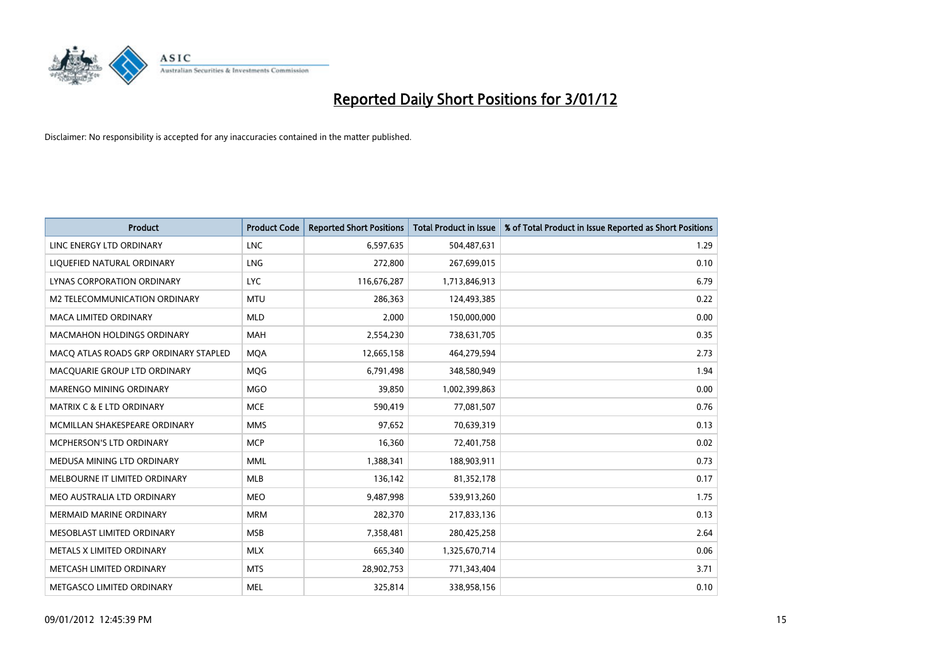

| <b>Product</b>                        | <b>Product Code</b> | <b>Reported Short Positions</b> | <b>Total Product in Issue</b> | % of Total Product in Issue Reported as Short Positions |
|---------------------------------------|---------------------|---------------------------------|-------------------------------|---------------------------------------------------------|
| LINC ENERGY LTD ORDINARY              | <b>LNC</b>          | 6,597,635                       | 504,487,631                   | 1.29                                                    |
| LIQUEFIED NATURAL ORDINARY            | LNG                 | 272,800                         | 267,699,015                   | 0.10                                                    |
| LYNAS CORPORATION ORDINARY            | <b>LYC</b>          | 116,676,287                     | 1,713,846,913                 | 6.79                                                    |
| M2 TELECOMMUNICATION ORDINARY         | <b>MTU</b>          | 286,363                         | 124,493,385                   | 0.22                                                    |
| <b>MACA LIMITED ORDINARY</b>          | <b>MLD</b>          | 2,000                           | 150,000,000                   | 0.00                                                    |
| <b>MACMAHON HOLDINGS ORDINARY</b>     | <b>MAH</b>          | 2,554,230                       | 738,631,705                   | 0.35                                                    |
| MACO ATLAS ROADS GRP ORDINARY STAPLED | <b>MOA</b>          | 12,665,158                      | 464,279,594                   | 2.73                                                    |
| MACQUARIE GROUP LTD ORDINARY          | <b>MOG</b>          | 6,791,498                       | 348,580,949                   | 1.94                                                    |
| <b>MARENGO MINING ORDINARY</b>        | <b>MGO</b>          | 39,850                          | 1,002,399,863                 | 0.00                                                    |
| <b>MATRIX C &amp; E LTD ORDINARY</b>  | <b>MCE</b>          | 590,419                         | 77,081,507                    | 0.76                                                    |
| MCMILLAN SHAKESPEARE ORDINARY         | <b>MMS</b>          | 97,652                          | 70,639,319                    | 0.13                                                    |
| MCPHERSON'S LTD ORDINARY              | <b>MCP</b>          | 16,360                          | 72,401,758                    | 0.02                                                    |
| MEDUSA MINING LTD ORDINARY            | <b>MML</b>          | 1,388,341                       | 188,903,911                   | 0.73                                                    |
| MELBOURNE IT LIMITED ORDINARY         | <b>MLB</b>          | 136,142                         | 81,352,178                    | 0.17                                                    |
| MEO AUSTRALIA LTD ORDINARY            | <b>MEO</b>          | 9,487,998                       | 539,913,260                   | 1.75                                                    |
| <b>MERMAID MARINE ORDINARY</b>        | <b>MRM</b>          | 282,370                         | 217,833,136                   | 0.13                                                    |
| MESOBLAST LIMITED ORDINARY            | <b>MSB</b>          | 7,358,481                       | 280,425,258                   | 2.64                                                    |
| METALS X LIMITED ORDINARY             | <b>MLX</b>          | 665,340                         | 1,325,670,714                 | 0.06                                                    |
| METCASH LIMITED ORDINARY              | <b>MTS</b>          | 28,902,753                      | 771,343,404                   | 3.71                                                    |
| METGASCO LIMITED ORDINARY             | <b>MEL</b>          | 325,814                         | 338,958,156                   | 0.10                                                    |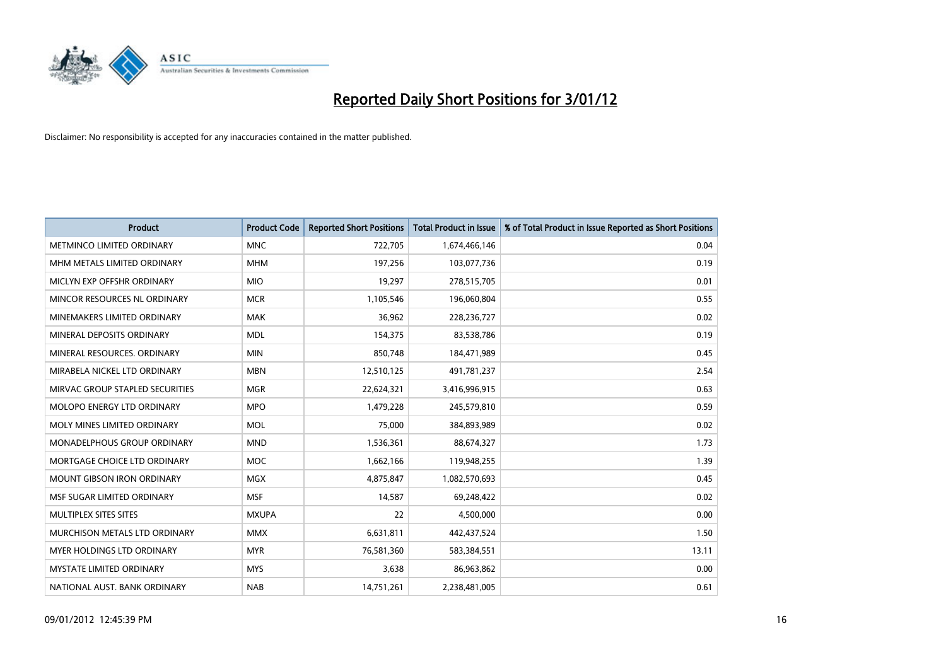

| <b>Product</b>                    | <b>Product Code</b> | <b>Reported Short Positions</b> | <b>Total Product in Issue</b> | % of Total Product in Issue Reported as Short Positions |
|-----------------------------------|---------------------|---------------------------------|-------------------------------|---------------------------------------------------------|
| METMINCO LIMITED ORDINARY         | <b>MNC</b>          | 722,705                         | 1,674,466,146                 | 0.04                                                    |
| MHM METALS LIMITED ORDINARY       | <b>MHM</b>          | 197,256                         | 103,077,736                   | 0.19                                                    |
| MICLYN EXP OFFSHR ORDINARY        | <b>MIO</b>          | 19,297                          | 278,515,705                   | 0.01                                                    |
| MINCOR RESOURCES NL ORDINARY      | <b>MCR</b>          | 1,105,546                       | 196,060,804                   | 0.55                                                    |
| MINEMAKERS LIMITED ORDINARY       | <b>MAK</b>          | 36,962                          | 228,236,727                   | 0.02                                                    |
| MINERAL DEPOSITS ORDINARY         | <b>MDL</b>          | 154,375                         | 83,538,786                    | 0.19                                                    |
| MINERAL RESOURCES. ORDINARY       | <b>MIN</b>          | 850,748                         | 184,471,989                   | 0.45                                                    |
| MIRABELA NICKEL LTD ORDINARY      | <b>MBN</b>          | 12,510,125                      | 491,781,237                   | 2.54                                                    |
| MIRVAC GROUP STAPLED SECURITIES   | <b>MGR</b>          | 22,624,321                      | 3,416,996,915                 | 0.63                                                    |
| MOLOPO ENERGY LTD ORDINARY        | <b>MPO</b>          | 1,479,228                       | 245,579,810                   | 0.59                                                    |
| MOLY MINES LIMITED ORDINARY       | <b>MOL</b>          | 75,000                          | 384,893,989                   | 0.02                                                    |
| MONADELPHOUS GROUP ORDINARY       | <b>MND</b>          | 1,536,361                       | 88,674,327                    | 1.73                                                    |
| MORTGAGE CHOICE LTD ORDINARY      | <b>MOC</b>          | 1,662,166                       | 119,948,255                   | 1.39                                                    |
| <b>MOUNT GIBSON IRON ORDINARY</b> | <b>MGX</b>          | 4,875,847                       | 1,082,570,693                 | 0.45                                                    |
| MSF SUGAR LIMITED ORDINARY        | <b>MSF</b>          | 14,587                          | 69,248,422                    | 0.02                                                    |
| MULTIPLEX SITES SITES             | <b>MXUPA</b>        | 22                              | 4,500,000                     | 0.00                                                    |
| MURCHISON METALS LTD ORDINARY     | <b>MMX</b>          | 6,631,811                       | 442,437,524                   | 1.50                                                    |
| <b>MYER HOLDINGS LTD ORDINARY</b> | <b>MYR</b>          | 76,581,360                      | 583,384,551                   | 13.11                                                   |
| <b>MYSTATE LIMITED ORDINARY</b>   | <b>MYS</b>          | 3,638                           | 86,963,862                    | 0.00                                                    |
| NATIONAL AUST. BANK ORDINARY      | <b>NAB</b>          | 14,751,261                      | 2,238,481,005                 | 0.61                                                    |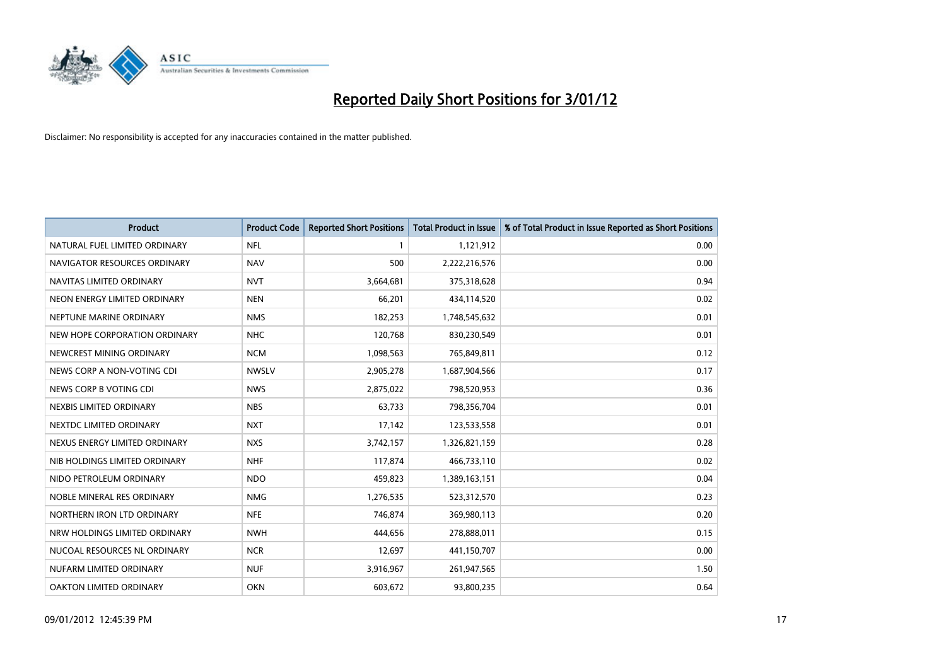

| <b>Product</b>                | <b>Product Code</b> | <b>Reported Short Positions</b> | <b>Total Product in Issue</b> | % of Total Product in Issue Reported as Short Positions |
|-------------------------------|---------------------|---------------------------------|-------------------------------|---------------------------------------------------------|
| NATURAL FUEL LIMITED ORDINARY | <b>NFL</b>          |                                 | 1,121,912                     | 0.00                                                    |
| NAVIGATOR RESOURCES ORDINARY  | <b>NAV</b>          | 500                             | 2,222,216,576                 | 0.00                                                    |
| NAVITAS LIMITED ORDINARY      | <b>NVT</b>          | 3,664,681                       | 375,318,628                   | 0.94                                                    |
| NEON ENERGY LIMITED ORDINARY  | <b>NEN</b>          | 66,201                          | 434,114,520                   | 0.02                                                    |
| NEPTUNE MARINE ORDINARY       | <b>NMS</b>          | 182,253                         | 1,748,545,632                 | 0.01                                                    |
| NEW HOPE CORPORATION ORDINARY | <b>NHC</b>          | 120,768                         | 830,230,549                   | 0.01                                                    |
| NEWCREST MINING ORDINARY      | <b>NCM</b>          | 1,098,563                       | 765,849,811                   | 0.12                                                    |
| NEWS CORP A NON-VOTING CDI    | <b>NWSLV</b>        | 2,905,278                       | 1,687,904,566                 | 0.17                                                    |
| NEWS CORP B VOTING CDI        | <b>NWS</b>          | 2,875,022                       | 798,520,953                   | 0.36                                                    |
| NEXBIS LIMITED ORDINARY       | <b>NBS</b>          | 63,733                          | 798,356,704                   | 0.01                                                    |
| NEXTDC LIMITED ORDINARY       | <b>NXT</b>          | 17,142                          | 123,533,558                   | 0.01                                                    |
| NEXUS ENERGY LIMITED ORDINARY | <b>NXS</b>          | 3,742,157                       | 1,326,821,159                 | 0.28                                                    |
| NIB HOLDINGS LIMITED ORDINARY | <b>NHF</b>          | 117,874                         | 466,733,110                   | 0.02                                                    |
| NIDO PETROLEUM ORDINARY       | <b>NDO</b>          | 459,823                         | 1,389,163,151                 | 0.04                                                    |
| NOBLE MINERAL RES ORDINARY    | <b>NMG</b>          | 1,276,535                       | 523,312,570                   | 0.23                                                    |
| NORTHERN IRON LTD ORDINARY    | <b>NFE</b>          | 746,874                         | 369,980,113                   | 0.20                                                    |
| NRW HOLDINGS LIMITED ORDINARY | <b>NWH</b>          | 444,656                         | 278,888,011                   | 0.15                                                    |
| NUCOAL RESOURCES NL ORDINARY  | <b>NCR</b>          | 12,697                          | 441,150,707                   | 0.00                                                    |
| NUFARM LIMITED ORDINARY       | <b>NUF</b>          | 3,916,967                       | 261,947,565                   | 1.50                                                    |
| OAKTON LIMITED ORDINARY       | <b>OKN</b>          | 603,672                         | 93,800,235                    | 0.64                                                    |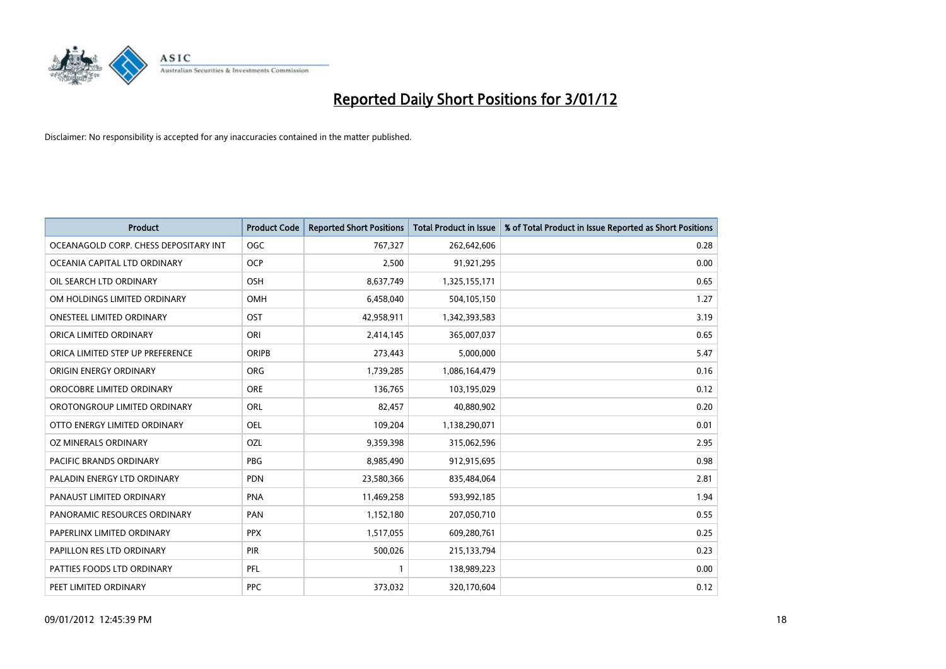

| <b>Product</b>                        | <b>Product Code</b> | <b>Reported Short Positions</b> | <b>Total Product in Issue</b> | % of Total Product in Issue Reported as Short Positions |
|---------------------------------------|---------------------|---------------------------------|-------------------------------|---------------------------------------------------------|
| OCEANAGOLD CORP. CHESS DEPOSITARY INT | <b>OGC</b>          | 767,327                         | 262,642,606                   | 0.28                                                    |
| OCEANIA CAPITAL LTD ORDINARY          | <b>OCP</b>          | 2,500                           | 91,921,295                    | 0.00                                                    |
| OIL SEARCH LTD ORDINARY               | OSH                 | 8,637,749                       | 1,325,155,171                 | 0.65                                                    |
| OM HOLDINGS LIMITED ORDINARY          | OMH                 | 6,458,040                       | 504,105,150                   | 1.27                                                    |
| <b>ONESTEEL LIMITED ORDINARY</b>      | OST                 | 42,958,911                      | 1,342,393,583                 | 3.19                                                    |
| ORICA LIMITED ORDINARY                | ORI                 | 2,414,145                       | 365,007,037                   | 0.65                                                    |
| ORICA LIMITED STEP UP PREFERENCE      | <b>ORIPB</b>        | 273,443                         | 5,000,000                     | 5.47                                                    |
| ORIGIN ENERGY ORDINARY                | <b>ORG</b>          | 1,739,285                       | 1,086,164,479                 | 0.16                                                    |
| OROCOBRE LIMITED ORDINARY             | <b>ORE</b>          | 136,765                         | 103,195,029                   | 0.12                                                    |
| OROTONGROUP LIMITED ORDINARY          | ORL                 | 82,457                          | 40,880,902                    | 0.20                                                    |
| OTTO ENERGY LIMITED ORDINARY          | OEL                 | 109,204                         | 1,138,290,071                 | 0.01                                                    |
| OZ MINERALS ORDINARY                  | OZL                 | 9,359,398                       | 315,062,596                   | 2.95                                                    |
| PACIFIC BRANDS ORDINARY               | <b>PBG</b>          | 8,985,490                       | 912,915,695                   | 0.98                                                    |
| PALADIN ENERGY LTD ORDINARY           | <b>PDN</b>          | 23,580,366                      | 835,484,064                   | 2.81                                                    |
| PANAUST LIMITED ORDINARY              | <b>PNA</b>          | 11,469,258                      | 593,992,185                   | 1.94                                                    |
| PANORAMIC RESOURCES ORDINARY          | PAN                 | 1,152,180                       | 207,050,710                   | 0.55                                                    |
| PAPERLINX LIMITED ORDINARY            | <b>PPX</b>          | 1,517,055                       | 609,280,761                   | 0.25                                                    |
| PAPILLON RES LTD ORDINARY             | PIR                 | 500,026                         | 215,133,794                   | 0.23                                                    |
| PATTIES FOODS LTD ORDINARY            | PFL                 |                                 | 138,989,223                   | 0.00                                                    |
| PEET LIMITED ORDINARY                 | <b>PPC</b>          | 373,032                         | 320,170,604                   | 0.12                                                    |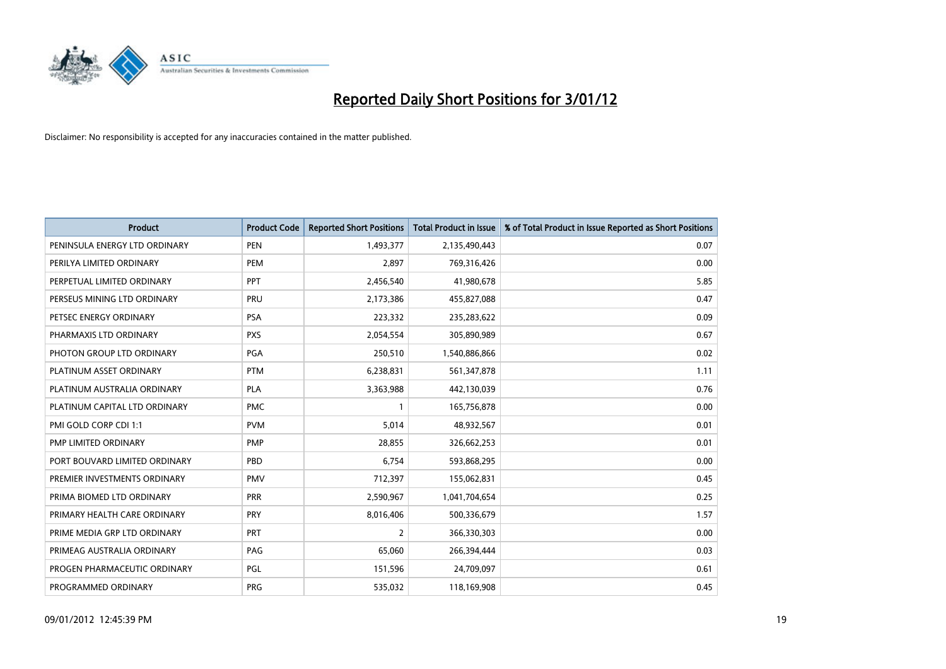

| <b>Product</b>                | <b>Product Code</b> | <b>Reported Short Positions</b> | <b>Total Product in Issue</b> | % of Total Product in Issue Reported as Short Positions |
|-------------------------------|---------------------|---------------------------------|-------------------------------|---------------------------------------------------------|
| PENINSULA ENERGY LTD ORDINARY | <b>PEN</b>          | 1,493,377                       | 2,135,490,443                 | 0.07                                                    |
| PERILYA LIMITED ORDINARY      | PEM                 | 2,897                           | 769,316,426                   | 0.00                                                    |
| PERPETUAL LIMITED ORDINARY    | PPT                 | 2,456,540                       | 41,980,678                    | 5.85                                                    |
| PERSEUS MINING LTD ORDINARY   | PRU                 | 2,173,386                       | 455,827,088                   | 0.47                                                    |
| PETSEC ENERGY ORDINARY        | <b>PSA</b>          | 223,332                         | 235,283,622                   | 0.09                                                    |
| PHARMAXIS LTD ORDINARY        | <b>PXS</b>          | 2,054,554                       | 305,890,989                   | 0.67                                                    |
| PHOTON GROUP LTD ORDINARY     | <b>PGA</b>          | 250,510                         | 1,540,886,866                 | 0.02                                                    |
| PLATINUM ASSET ORDINARY       | <b>PTM</b>          | 6,238,831                       | 561,347,878                   | 1.11                                                    |
| PLATINUM AUSTRALIA ORDINARY   | <b>PLA</b>          | 3,363,988                       | 442,130,039                   | 0.76                                                    |
| PLATINUM CAPITAL LTD ORDINARY | <b>PMC</b>          |                                 | 165,756,878                   | 0.00                                                    |
| PMI GOLD CORP CDI 1:1         | <b>PVM</b>          | 5,014                           | 48,932,567                    | 0.01                                                    |
| PMP LIMITED ORDINARY          | <b>PMP</b>          | 28,855                          | 326,662,253                   | 0.01                                                    |
| PORT BOUVARD LIMITED ORDINARY | PBD                 | 6,754                           | 593,868,295                   | 0.00                                                    |
| PREMIER INVESTMENTS ORDINARY  | <b>PMV</b>          | 712,397                         | 155,062,831                   | 0.45                                                    |
| PRIMA BIOMED LTD ORDINARY     | <b>PRR</b>          | 2,590,967                       | 1,041,704,654                 | 0.25                                                    |
| PRIMARY HEALTH CARE ORDINARY  | <b>PRY</b>          | 8,016,406                       | 500,336,679                   | 1.57                                                    |
| PRIME MEDIA GRP LTD ORDINARY  | PRT                 | 2                               | 366,330,303                   | 0.00                                                    |
| PRIMEAG AUSTRALIA ORDINARY    | PAG                 | 65,060                          | 266,394,444                   | 0.03                                                    |
| PROGEN PHARMACEUTIC ORDINARY  | PGL                 | 151,596                         | 24,709,097                    | 0.61                                                    |
| PROGRAMMED ORDINARY           | <b>PRG</b>          | 535,032                         | 118,169,908                   | 0.45                                                    |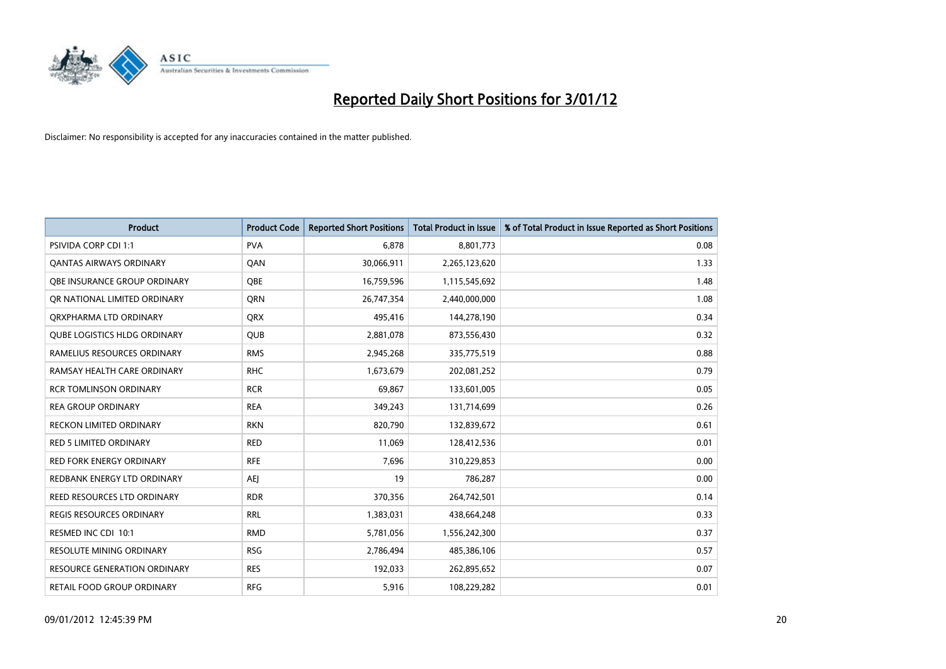

| <b>Product</b>                      | <b>Product Code</b> | <b>Reported Short Positions</b> | <b>Total Product in Issue</b> | % of Total Product in Issue Reported as Short Positions |
|-------------------------------------|---------------------|---------------------------------|-------------------------------|---------------------------------------------------------|
| <b>PSIVIDA CORP CDI 1:1</b>         | <b>PVA</b>          | 6,878                           | 8,801,773                     | 0.08                                                    |
| <b>QANTAS AIRWAYS ORDINARY</b>      | QAN                 | 30,066,911                      | 2,265,123,620                 | 1.33                                                    |
| OBE INSURANCE GROUP ORDINARY        | <b>OBE</b>          | 16,759,596                      | 1,115,545,692                 | 1.48                                                    |
| OR NATIONAL LIMITED ORDINARY        | <b>ORN</b>          | 26,747,354                      | 2,440,000,000                 | 1.08                                                    |
| ORXPHARMA LTD ORDINARY              | <b>QRX</b>          | 495,416                         | 144,278,190                   | 0.34                                                    |
| <b>OUBE LOGISTICS HLDG ORDINARY</b> | <b>QUB</b>          | 2,881,078                       | 873,556,430                   | 0.32                                                    |
| RAMELIUS RESOURCES ORDINARY         | <b>RMS</b>          | 2,945,268                       | 335,775,519                   | 0.88                                                    |
| RAMSAY HEALTH CARE ORDINARY         | <b>RHC</b>          | 1,673,679                       | 202,081,252                   | 0.79                                                    |
| <b>RCR TOMLINSON ORDINARY</b>       | <b>RCR</b>          | 69,867                          | 133,601,005                   | 0.05                                                    |
| <b>REA GROUP ORDINARY</b>           | <b>REA</b>          | 349,243                         | 131,714,699                   | 0.26                                                    |
| RECKON LIMITED ORDINARY             | <b>RKN</b>          | 820,790                         | 132,839,672                   | 0.61                                                    |
| <b>RED 5 LIMITED ORDINARY</b>       | <b>RED</b>          | 11,069                          | 128,412,536                   | 0.01                                                    |
| RED FORK ENERGY ORDINARY            | <b>RFE</b>          | 7,696                           | 310,229,853                   | 0.00                                                    |
| REDBANK ENERGY LTD ORDINARY         | AEJ                 | 19                              | 786,287                       | 0.00                                                    |
| REED RESOURCES LTD ORDINARY         | <b>RDR</b>          | 370,356                         | 264,742,501                   | 0.14                                                    |
| REGIS RESOURCES ORDINARY            | <b>RRL</b>          | 1,383,031                       | 438,664,248                   | 0.33                                                    |
| RESMED INC CDI 10:1                 | <b>RMD</b>          | 5,781,056                       | 1,556,242,300                 | 0.37                                                    |
| RESOLUTE MINING ORDINARY            | <b>RSG</b>          | 2,786,494                       | 485,386,106                   | 0.57                                                    |
| <b>RESOURCE GENERATION ORDINARY</b> | <b>RES</b>          | 192,033                         | 262,895,652                   | 0.07                                                    |
| RETAIL FOOD GROUP ORDINARY          | <b>RFG</b>          | 5,916                           | 108,229,282                   | 0.01                                                    |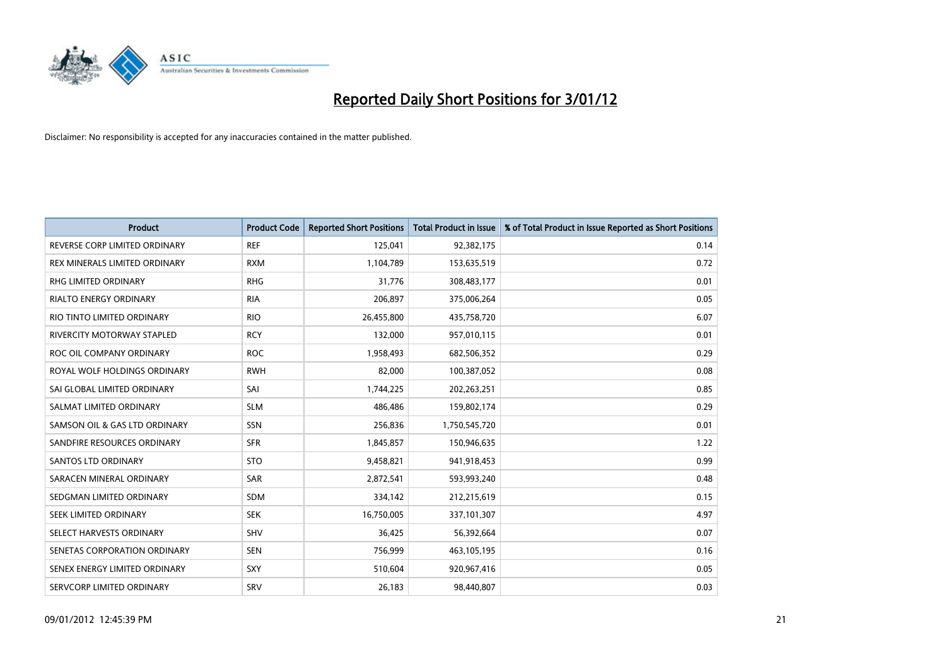

| <b>Product</b>                       | <b>Product Code</b> | <b>Reported Short Positions</b> | <b>Total Product in Issue</b> | % of Total Product in Issue Reported as Short Positions |
|--------------------------------------|---------------------|---------------------------------|-------------------------------|---------------------------------------------------------|
| REVERSE CORP LIMITED ORDINARY        | <b>REF</b>          | 125,041                         | 92,382,175                    | 0.14                                                    |
| <b>REX MINERALS LIMITED ORDINARY</b> | <b>RXM</b>          | 1,104,789                       | 153,635,519                   | 0.72                                                    |
| <b>RHG LIMITED ORDINARY</b>          | <b>RHG</b>          | 31,776                          | 308,483,177                   | 0.01                                                    |
| RIALTO ENERGY ORDINARY               | <b>RIA</b>          | 206,897                         | 375,006,264                   | 0.05                                                    |
| RIO TINTO LIMITED ORDINARY           | <b>RIO</b>          | 26,455,800                      | 435,758,720                   | 6.07                                                    |
| RIVERCITY MOTORWAY STAPLED           | <b>RCY</b>          | 132,000                         | 957,010,115                   | 0.01                                                    |
| ROC OIL COMPANY ORDINARY             | <b>ROC</b>          | 1,958,493                       | 682,506,352                   | 0.29                                                    |
| ROYAL WOLF HOLDINGS ORDINARY         | <b>RWH</b>          | 82,000                          | 100,387,052                   | 0.08                                                    |
| SAI GLOBAL LIMITED ORDINARY          | SAI                 | 1,744,225                       | 202,263,251                   | 0.85                                                    |
| SALMAT LIMITED ORDINARY              | <b>SLM</b>          | 486,486                         | 159,802,174                   | 0.29                                                    |
| SAMSON OIL & GAS LTD ORDINARY        | <b>SSN</b>          | 256,836                         | 1,750,545,720                 | 0.01                                                    |
| SANDFIRE RESOURCES ORDINARY          | <b>SFR</b>          | 1,845,857                       | 150,946,635                   | 1.22                                                    |
| <b>SANTOS LTD ORDINARY</b>           | <b>STO</b>          | 9,458,821                       | 941,918,453                   | 0.99                                                    |
| SARACEN MINERAL ORDINARY             | SAR                 | 2,872,541                       | 593,993,240                   | 0.48                                                    |
| SEDGMAN LIMITED ORDINARY             | <b>SDM</b>          | 334,142                         | 212,215,619                   | 0.15                                                    |
| SEEK LIMITED ORDINARY                | <b>SEK</b>          | 16,750,005                      | 337,101,307                   | 4.97                                                    |
| SELECT HARVESTS ORDINARY             | <b>SHV</b>          | 36,425                          | 56,392,664                    | 0.07                                                    |
| SENETAS CORPORATION ORDINARY         | <b>SEN</b>          | 756,999                         | 463,105,195                   | 0.16                                                    |
| SENEX ENERGY LIMITED ORDINARY        | <b>SXY</b>          | 510,604                         | 920,967,416                   | 0.05                                                    |
| SERVCORP LIMITED ORDINARY            | SRV                 | 26,183                          | 98,440,807                    | 0.03                                                    |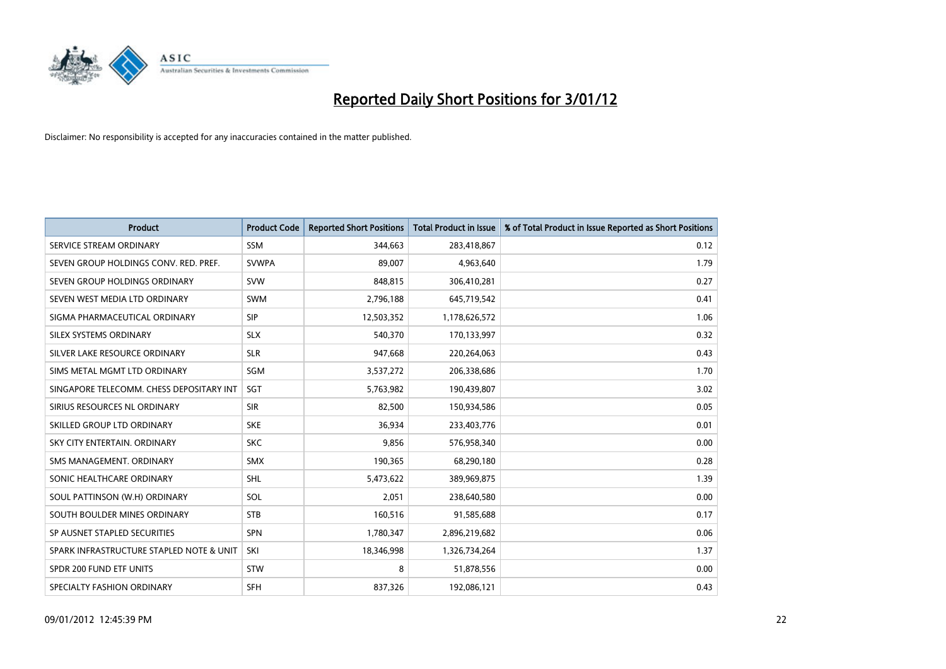

| <b>Product</b>                           | <b>Product Code</b> | <b>Reported Short Positions</b> | <b>Total Product in Issue</b> | % of Total Product in Issue Reported as Short Positions |
|------------------------------------------|---------------------|---------------------------------|-------------------------------|---------------------------------------------------------|
| SERVICE STREAM ORDINARY                  | <b>SSM</b>          | 344,663                         | 283,418,867                   | 0.12                                                    |
| SEVEN GROUP HOLDINGS CONV. RED. PREF.    | <b>SVWPA</b>        | 89,007                          | 4,963,640                     | 1.79                                                    |
| SEVEN GROUP HOLDINGS ORDINARY            | <b>SVW</b>          | 848.815                         | 306,410,281                   | 0.27                                                    |
| SEVEN WEST MEDIA LTD ORDINARY            | <b>SWM</b>          | 2,796,188                       | 645,719,542                   | 0.41                                                    |
| SIGMA PHARMACEUTICAL ORDINARY            | <b>SIP</b>          | 12,503,352                      | 1,178,626,572                 | 1.06                                                    |
| SILEX SYSTEMS ORDINARY                   | <b>SLX</b>          | 540,370                         | 170,133,997                   | 0.32                                                    |
| SILVER LAKE RESOURCE ORDINARY            | <b>SLR</b>          | 947,668                         | 220,264,063                   | 0.43                                                    |
| SIMS METAL MGMT LTD ORDINARY             | SGM                 | 3,537,272                       | 206,338,686                   | 1.70                                                    |
| SINGAPORE TELECOMM. CHESS DEPOSITARY INT | SGT                 | 5,763,982                       | 190,439,807                   | 3.02                                                    |
| SIRIUS RESOURCES NL ORDINARY             | <b>SIR</b>          | 82,500                          | 150,934,586                   | 0.05                                                    |
| SKILLED GROUP LTD ORDINARY               | <b>SKE</b>          | 36,934                          | 233,403,776                   | 0.01                                                    |
| SKY CITY ENTERTAIN, ORDINARY             | <b>SKC</b>          | 9.856                           | 576,958,340                   | 0.00                                                    |
| SMS MANAGEMENT. ORDINARY                 | <b>SMX</b>          | 190,365                         | 68,290,180                    | 0.28                                                    |
| SONIC HEALTHCARE ORDINARY                | SHL                 | 5,473,622                       | 389,969,875                   | 1.39                                                    |
| SOUL PATTINSON (W.H) ORDINARY            | SOL                 | 2,051                           | 238,640,580                   | 0.00                                                    |
| SOUTH BOULDER MINES ORDINARY             | <b>STB</b>          | 160,516                         | 91,585,688                    | 0.17                                                    |
| SP AUSNET STAPLED SECURITIES             | SPN                 | 1,780,347                       | 2,896,219,682                 | 0.06                                                    |
| SPARK INFRASTRUCTURE STAPLED NOTE & UNIT | SKI                 | 18,346,998                      | 1,326,734,264                 | 1.37                                                    |
| SPDR 200 FUND ETF UNITS                  | <b>STW</b>          | 8                               | 51,878,556                    | 0.00                                                    |
| SPECIALTY FASHION ORDINARY               | <b>SFH</b>          | 837,326                         | 192,086,121                   | 0.43                                                    |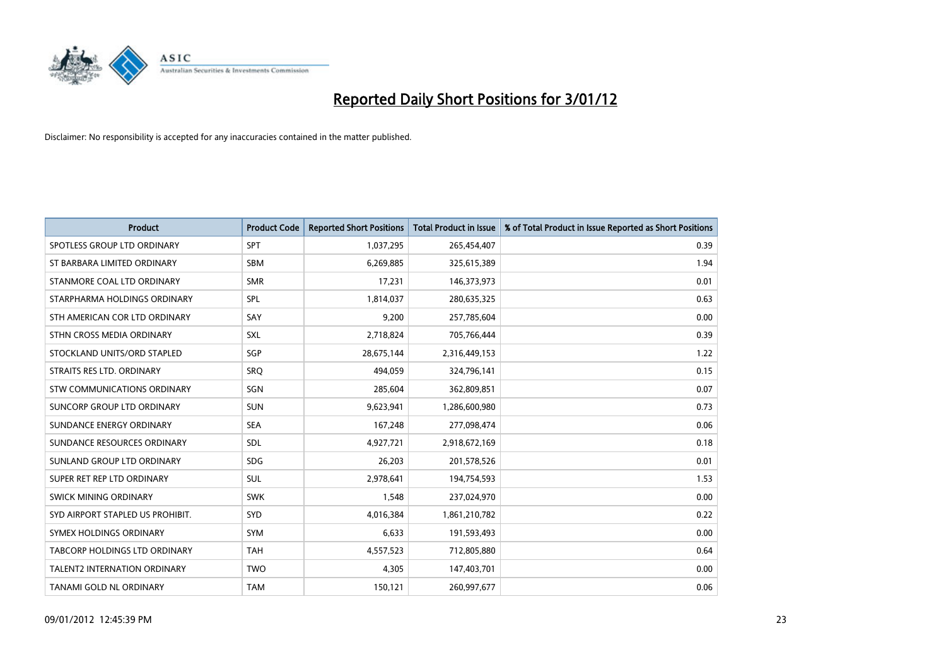

| <b>Product</b>                      | <b>Product Code</b> | <b>Reported Short Positions</b> | <b>Total Product in Issue</b> | % of Total Product in Issue Reported as Short Positions |
|-------------------------------------|---------------------|---------------------------------|-------------------------------|---------------------------------------------------------|
| SPOTLESS GROUP LTD ORDINARY         | SPT                 | 1,037,295                       | 265,454,407                   | 0.39                                                    |
| ST BARBARA LIMITED ORDINARY         | <b>SBM</b>          | 6,269,885                       | 325,615,389                   | 1.94                                                    |
| STANMORE COAL LTD ORDINARY          | <b>SMR</b>          | 17,231                          | 146,373,973                   | 0.01                                                    |
| STARPHARMA HOLDINGS ORDINARY        | SPL                 | 1,814,037                       | 280,635,325                   | 0.63                                                    |
| STH AMERICAN COR LTD ORDINARY       | SAY                 | 9,200                           | 257,785,604                   | 0.00                                                    |
| STHN CROSS MEDIA ORDINARY           | SXL                 | 2,718,824                       | 705,766,444                   | 0.39                                                    |
| STOCKLAND UNITS/ORD STAPLED         | SGP                 | 28,675,144                      | 2,316,449,153                 | 1.22                                                    |
| STRAITS RES LTD. ORDINARY           | SRO                 | 494,059                         | 324,796,141                   | 0.15                                                    |
| STW COMMUNICATIONS ORDINARY         | SGN                 | 285,604                         | 362,809,851                   | 0.07                                                    |
| SUNCORP GROUP LTD ORDINARY          | <b>SUN</b>          | 9,623,941                       | 1,286,600,980                 | 0.73                                                    |
| SUNDANCE ENERGY ORDINARY            | <b>SEA</b>          | 167,248                         | 277,098,474                   | 0.06                                                    |
| SUNDANCE RESOURCES ORDINARY         | <b>SDL</b>          | 4,927,721                       | 2,918,672,169                 | 0.18                                                    |
| SUNLAND GROUP LTD ORDINARY          | <b>SDG</b>          | 26,203                          | 201,578,526                   | 0.01                                                    |
| SUPER RET REP LTD ORDINARY          | <b>SUL</b>          | 2,978,641                       | 194,754,593                   | 1.53                                                    |
| <b>SWICK MINING ORDINARY</b>        | <b>SWK</b>          | 1,548                           | 237,024,970                   | 0.00                                                    |
| SYD AIRPORT STAPLED US PROHIBIT.    | SYD                 | 4,016,384                       | 1,861,210,782                 | 0.22                                                    |
| SYMEX HOLDINGS ORDINARY             | <b>SYM</b>          | 6,633                           | 191,593,493                   | 0.00                                                    |
| TABCORP HOLDINGS LTD ORDINARY       | <b>TAH</b>          | 4,557,523                       | 712,805,880                   | 0.64                                                    |
| <b>TALENT2 INTERNATION ORDINARY</b> | <b>TWO</b>          | 4,305                           | 147,403,701                   | 0.00                                                    |
| TANAMI GOLD NL ORDINARY             | <b>TAM</b>          | 150,121                         | 260,997,677                   | 0.06                                                    |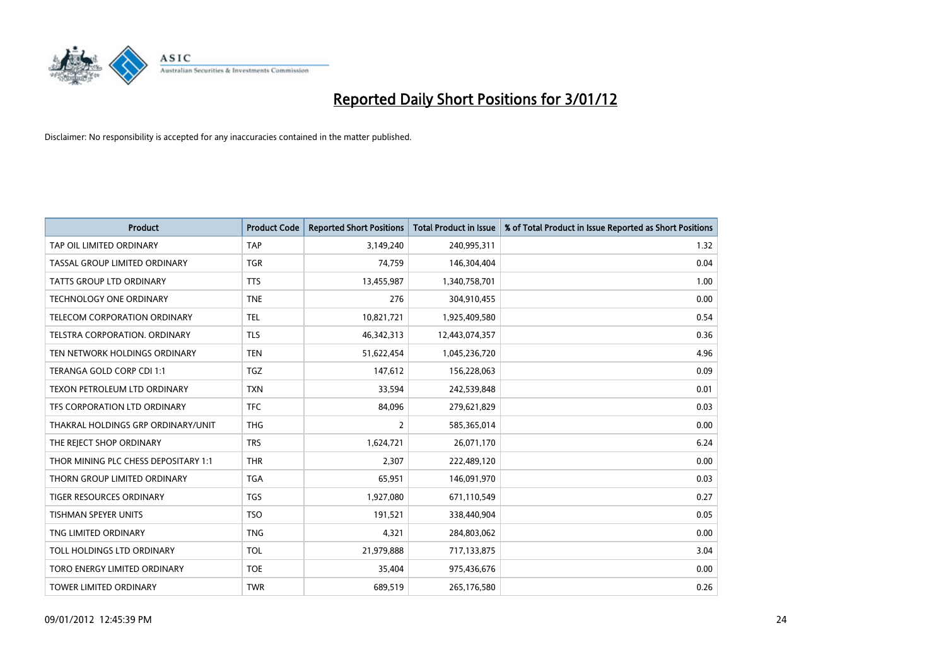

| <b>Product</b>                       | <b>Product Code</b> | <b>Reported Short Positions</b> | <b>Total Product in Issue</b> | % of Total Product in Issue Reported as Short Positions |
|--------------------------------------|---------------------|---------------------------------|-------------------------------|---------------------------------------------------------|
| TAP OIL LIMITED ORDINARY             | <b>TAP</b>          | 3,149,240                       | 240,995,311                   | 1.32                                                    |
| TASSAL GROUP LIMITED ORDINARY        | <b>TGR</b>          | 74,759                          | 146,304,404                   | 0.04                                                    |
| <b>TATTS GROUP LTD ORDINARY</b>      | <b>TTS</b>          | 13,455,987                      | 1,340,758,701                 | 1.00                                                    |
| TECHNOLOGY ONE ORDINARY              | <b>TNE</b>          | 276                             | 304,910,455                   | 0.00                                                    |
| <b>TELECOM CORPORATION ORDINARY</b>  | <b>TEL</b>          | 10,821,721                      | 1,925,409,580                 | 0.54                                                    |
| TELSTRA CORPORATION, ORDINARY        | <b>TLS</b>          | 46,342,313                      | 12,443,074,357                | 0.36                                                    |
| TEN NETWORK HOLDINGS ORDINARY        | <b>TEN</b>          | 51,622,454                      | 1,045,236,720                 | 4.96                                                    |
| TERANGA GOLD CORP CDI 1:1            | <b>TGZ</b>          | 147,612                         | 156,228,063                   | 0.09                                                    |
| TEXON PETROLEUM LTD ORDINARY         | <b>TXN</b>          | 33,594                          | 242,539,848                   | 0.01                                                    |
| TFS CORPORATION LTD ORDINARY         | <b>TFC</b>          | 84,096                          | 279,621,829                   | 0.03                                                    |
| THAKRAL HOLDINGS GRP ORDINARY/UNIT   | <b>THG</b>          | $\overline{2}$                  | 585,365,014                   | 0.00                                                    |
| THE REJECT SHOP ORDINARY             | <b>TRS</b>          | 1,624,721                       | 26,071,170                    | 6.24                                                    |
| THOR MINING PLC CHESS DEPOSITARY 1:1 | <b>THR</b>          | 2,307                           | 222,489,120                   | 0.00                                                    |
| THORN GROUP LIMITED ORDINARY         | <b>TGA</b>          | 65,951                          | 146,091,970                   | 0.03                                                    |
| <b>TIGER RESOURCES ORDINARY</b>      | <b>TGS</b>          | 1,927,080                       | 671,110,549                   | 0.27                                                    |
| <b>TISHMAN SPEYER UNITS</b>          | <b>TSO</b>          | 191.521                         | 338,440,904                   | 0.05                                                    |
| TNG LIMITED ORDINARY                 | <b>TNG</b>          | 4,321                           | 284,803,062                   | 0.00                                                    |
| TOLL HOLDINGS LTD ORDINARY           | <b>TOL</b>          | 21,979,888                      | 717,133,875                   | 3.04                                                    |
| TORO ENERGY LIMITED ORDINARY         | <b>TOE</b>          | 35,404                          | 975,436,676                   | 0.00                                                    |
| <b>TOWER LIMITED ORDINARY</b>        | <b>TWR</b>          | 689.519                         | 265,176,580                   | 0.26                                                    |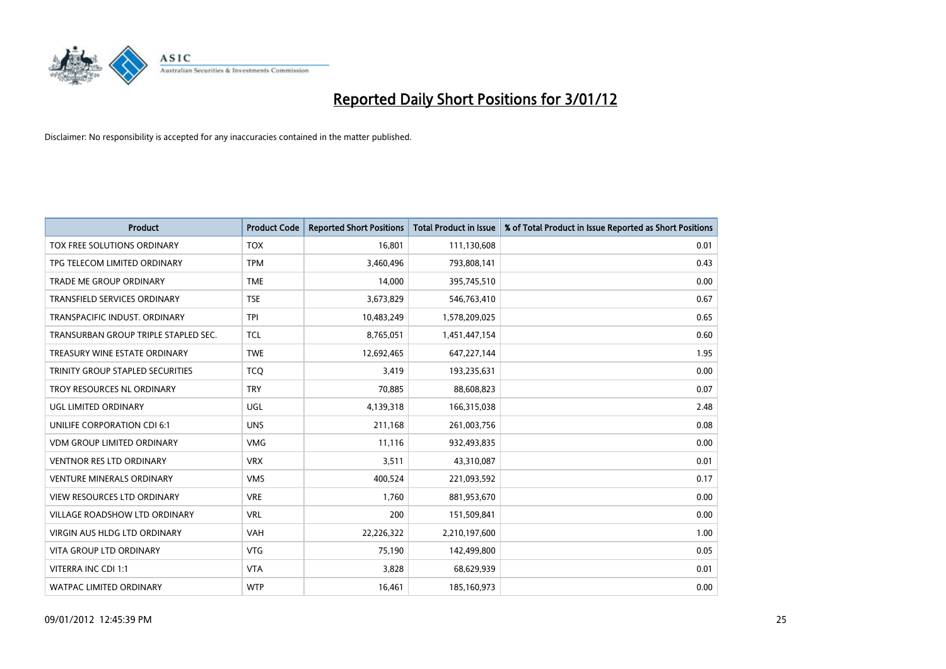

| <b>Product</b>                       | <b>Product Code</b> | <b>Reported Short Positions</b> | <b>Total Product in Issue</b> | % of Total Product in Issue Reported as Short Positions |
|--------------------------------------|---------------------|---------------------------------|-------------------------------|---------------------------------------------------------|
| TOX FREE SOLUTIONS ORDINARY          | <b>TOX</b>          | 16,801                          | 111,130,608                   | 0.01                                                    |
| TPG TELECOM LIMITED ORDINARY         | <b>TPM</b>          | 3,460,496                       | 793,808,141                   | 0.43                                                    |
| <b>TRADE ME GROUP ORDINARY</b>       | <b>TME</b>          | 14,000                          | 395,745,510                   | 0.00                                                    |
| TRANSFIELD SERVICES ORDINARY         | <b>TSE</b>          | 3,673,829                       | 546,763,410                   | 0.67                                                    |
| TRANSPACIFIC INDUST, ORDINARY        | <b>TPI</b>          | 10,483,249                      | 1,578,209,025                 | 0.65                                                    |
| TRANSURBAN GROUP TRIPLE STAPLED SEC. | <b>TCL</b>          | 8,765,051                       | 1,451,447,154                 | 0.60                                                    |
| TREASURY WINE ESTATE ORDINARY        | <b>TWE</b>          | 12,692,465                      | 647,227,144                   | 1.95                                                    |
| TRINITY GROUP STAPLED SECURITIES     | <b>TCQ</b>          | 3,419                           | 193,235,631                   | 0.00                                                    |
| TROY RESOURCES NL ORDINARY           | <b>TRY</b>          | 70,885                          | 88,608,823                    | 0.07                                                    |
| <b>UGL LIMITED ORDINARY</b>          | <b>UGL</b>          | 4,139,318                       | 166,315,038                   | 2.48                                                    |
| UNILIFE CORPORATION CDI 6:1          | <b>UNS</b>          | 211,168                         | 261,003,756                   | 0.08                                                    |
| <b>VDM GROUP LIMITED ORDINARY</b>    | <b>VMG</b>          | 11,116                          | 932,493,835                   | 0.00                                                    |
| <b>VENTNOR RES LTD ORDINARY</b>      | <b>VRX</b>          | 3,511                           | 43,310,087                    | 0.01                                                    |
| <b>VENTURE MINERALS ORDINARY</b>     | <b>VMS</b>          | 400,524                         | 221,093,592                   | 0.17                                                    |
| <b>VIEW RESOURCES LTD ORDINARY</b>   | <b>VRE</b>          | 1,760                           | 881,953,670                   | 0.00                                                    |
| VILLAGE ROADSHOW LTD ORDINARY        | <b>VRL</b>          | 200                             | 151,509,841                   | 0.00                                                    |
| VIRGIN AUS HLDG LTD ORDINARY         | <b>VAH</b>          | 22,226,322                      | 2,210,197,600                 | 1.00                                                    |
| VITA GROUP LTD ORDINARY              | <b>VTG</b>          | 75,190                          | 142,499,800                   | 0.05                                                    |
| VITERRA INC CDI 1:1                  | <b>VTA</b>          | 3,828                           | 68,629,939                    | 0.01                                                    |
| WATPAC LIMITED ORDINARY              | <b>WTP</b>          | 16,461                          | 185,160,973                   | 0.00                                                    |